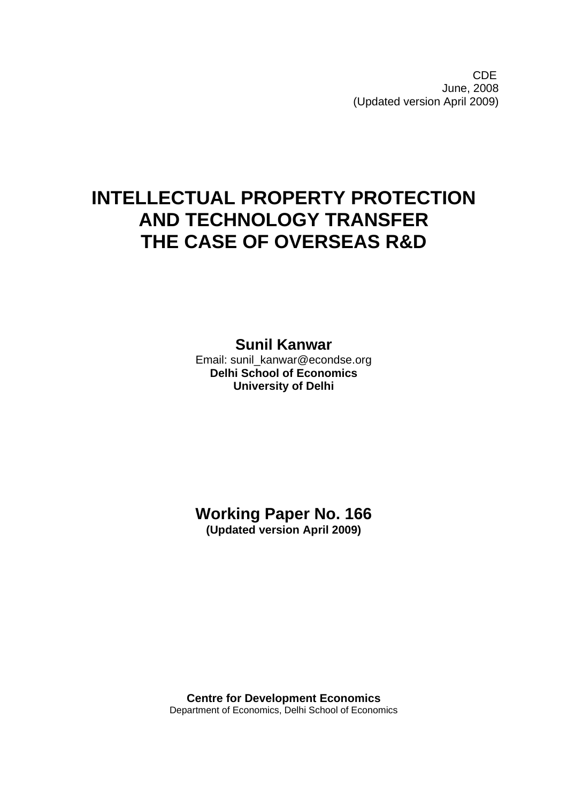**CDE COLLECTION** June, 2008 (Updated version April 2009)

# **INTELLECTUAL PROPERTY PROTECTION AND TECHNOLOGY TRANSFER THE CASE OF OVERSEAS R&D**

**Sunil Kanwar** 

Email: sunil\_kanwar@econdse.org **Delhi School of Economics University of Delhi** 

**Working Paper No. 166 (Updated version April 2009)** 

**Centre for Development Economics**  Department of Economics, Delhi School of Economics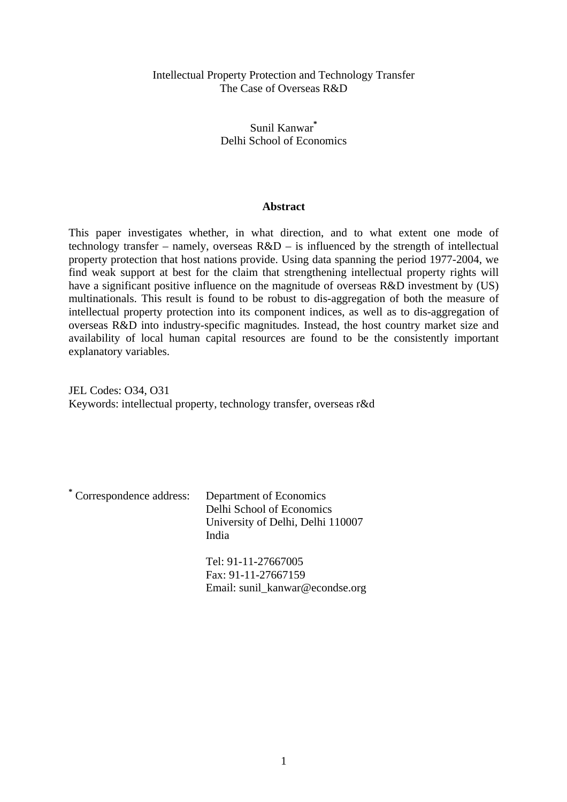# Intellectual Property Protection and Technology Transfer The Case of Overseas R&D

# Sunil Kanwar**\*** Delhi School of Economics

# **Abstract**

This paper investigates whether, in what direction, and to what extent one mode of technology transfer – namely, overseas  $R&D$  – is influenced by the strength of intellectual property protection that host nations provide. Using data spanning the period 1977-2004, we find weak support at best for the claim that strengthening intellectual property rights will have a significant positive influence on the magnitude of overseas R&D investment by (US) multinationals. This result is found to be robust to dis-aggregation of both the measure of intellectual property protection into its component indices, as well as to dis-aggregation of overseas R&D into industry-specific magnitudes. Instead, the host country market size and availability of local human capital resources are found to be the consistently important explanatory variables.

JEL Codes: O34, O31 Keywords: intellectual property, technology transfer, overseas r&d

| * Correspondence address: | Department of Economics<br>Delhi School of Economics<br>University of Delhi, Delhi 110007<br>India |
|---------------------------|----------------------------------------------------------------------------------------------------|
|                           | Tel: 91-11-27667005                                                                                |
|                           | Fax: 91-11-27667159<br>Email: sunil_kanwar@econdse.org                                             |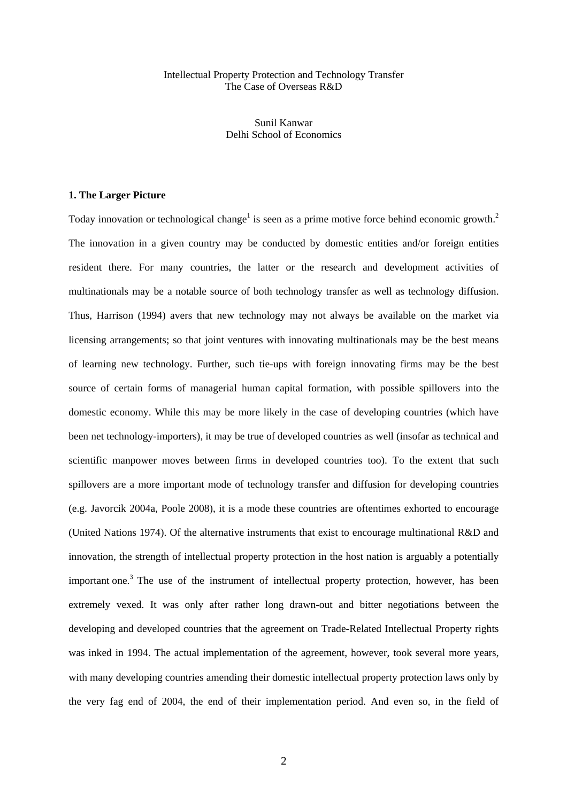### Intellectual Property Protection and Technology Transfer The Case of Overseas R&D

Sunil Kanwar Delhi School of Economics

## **1. The Larger Picture**

Today innovation or technological change<sup>[1](#page-40-0)</sup> is seen as a prime motive force behind economic growth.<sup>[2](#page-40-1)</sup> The innovation in a given country may be conducted by domestic entities and/or foreign entities resident there. For many countries, the latter or the research and development activities of multinationals may be a notable source of both technology transfer as well as technology diffusion. Thus, Harrison (1994) avers that new technology may not always be available on the market via licensing arrangements; so that joint ventures with innovating multinationals may be the best means of learning new technology. Further, such tie-ups with foreign innovating firms may be the best source of certain forms of managerial human capital formation, with possible spillovers into the domestic economy. While this may be more likely in the case of developing countries (which have been net technology-importers), it may be true of developed countries as well (insofar as technical and scientific manpower moves between firms in developed countries too). To the extent that such spillovers are a more important mode of technology transfer and diffusion for developing countries (e.g. Javorcik 2004a, Poole 2008), it is a mode these countries are oftentimes exhorted to encourage (United Nations 1974). Of the alternative instruments that exist to encourage multinational R&D and innovation, the strength of intellectual property protection in the host nation is arguably a potentially important one.<sup>[3](#page-40-2)</sup> The use of the instrument of intellectual property protection, however, has been extremely vexed. It was only after rather long drawn-out and bitter negotiations between the developing and developed countries that the agreement on Trade-Related Intellectual Property rights was inked in 1994. The actual implementation of the agreement, however, took several more years, with many developing countries amending their domestic intellectual property protection laws only by the very fag end of 2004, the end of their implementation period. And even so, in the field of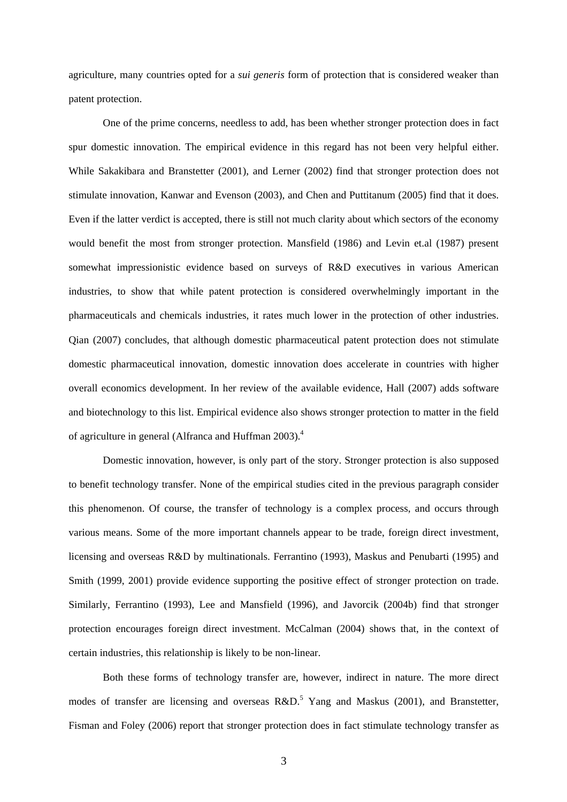agriculture, many countries opted for a *sui generis* form of protection that is considered weaker than patent protection.

One of the prime concerns, needless to add, has been whether stronger protection does in fact spur domestic innovation. The empirical evidence in this regard has not been very helpful either. While Sakakibara and Branstetter (2001), and Lerner (2002) find that stronger protection does not stimulate innovation, Kanwar and Evenson (2003), and Chen and Puttitanum (2005) find that it does. Even if the latter verdict is accepted, there is still not much clarity about which sectors of the economy would benefit the most from stronger protection. Mansfield (1986) and Levin et.al (1987) present somewhat impressionistic evidence based on surveys of R&D executives in various American industries, to show that while patent protection is considered overwhelmingly important in the pharmaceuticals and chemicals industries, it rates much lower in the protection of other industries. Qian (2007) concludes, that although domestic pharmaceutical patent protection does not stimulate domestic pharmaceutical innovation, domestic innovation does accelerate in countries with higher overall economics development. In her review of the available evidence, Hall (2007) adds software and biotechnology to this list. Empirical evidence also shows stronger protection to matter in the field of agriculture in general (Alfranca and Huffman 2003).<sup>[4](#page-40-3)</sup>

Domestic innovation, however, is only part of the story. Stronger protection is also supposed to benefit technology transfer. None of the empirical studies cited in the previous paragraph consider this phenomenon. Of course, the transfer of technology is a complex process, and occurs through various means. Some of the more important channels appear to be trade, foreign direct investment, licensing and overseas R&D by multinationals. Ferrantino (1993), Maskus and Penubarti (1995) and Smith (1999, 2001) provide evidence supporting the positive effect of stronger protection on trade. Similarly, Ferrantino (1993), Lee and Mansfield (1996), and Javorcik (2004b) find that stronger protection encourages foreign direct investment. McCalman (2004) shows that, in the context of certain industries, this relationship is likely to be non-linear.

Both these forms of technology transfer are, however, indirect in nature. The more direct modesof transfer are licensing and overseas  $R&D$ <sup>5</sup> Yang and Maskus (2001), and Branstetter, Fisman and Foley (2006) report that stronger protection does in fact stimulate technology transfer as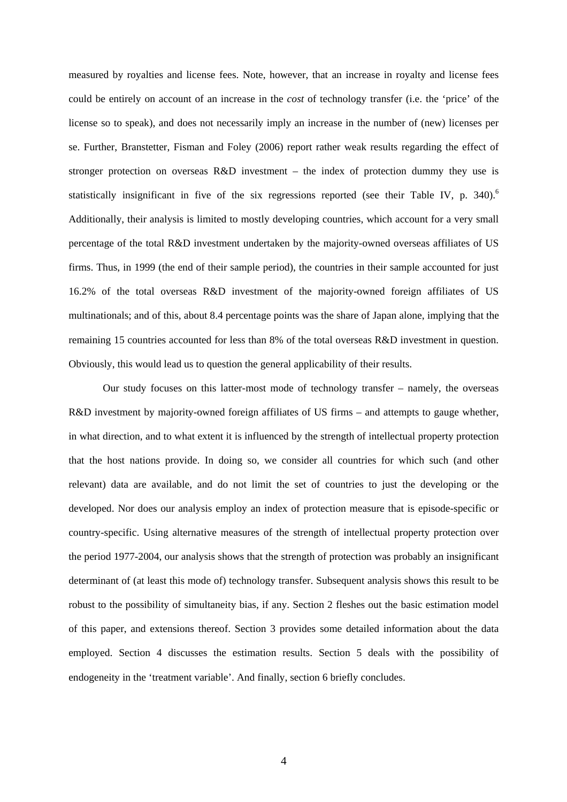measured by royalties and license fees. Note, however, that an increase in royalty and license fees could be entirely on account of an increase in the *cost* of technology transfer (i.e. the 'price' of the license so to speak), and does not necessarily imply an increase in the number of (new) licenses per se. Further, Branstetter, Fisman and Foley (2006) report rather weak results regarding the effect of stronger protection on overseas R&D investment – the index of protection dummy they use is statistically insignificant in five of the six regressions reported (see their Table IV, p.  $340$ ).<sup>[6](#page-40-5)</sup> Additionally, their analysis is limited to mostly developing countries, which account for a very small percentage of the total R&D investment undertaken by the majority-owned overseas affiliates of US firms. Thus, in 1999 (the end of their sample period), the countries in their sample accounted for just 16.2% of the total overseas R&D investment of the majority-owned foreign affiliates of US multinationals; and of this, about 8.4 percentage points was the share of Japan alone, implying that the remaining 15 countries accounted for less than 8% of the total overseas R&D investment in question. Obviously, this would lead us to question the general applicability of their results.

Our study focuses on this latter-most mode of technology transfer – namely, the overseas R&D investment by majority-owned foreign affiliates of US firms – and attempts to gauge whether, in what direction, and to what extent it is influenced by the strength of intellectual property protection that the host nations provide. In doing so, we consider all countries for which such (and other relevant) data are available, and do not limit the set of countries to just the developing or the developed. Nor does our analysis employ an index of protection measure that is episode-specific or country-specific. Using alternative measures of the strength of intellectual property protection over the period 1977-2004, our analysis shows that the strength of protection was probably an insignificant determinant of (at least this mode of) technology transfer. Subsequent analysis shows this result to be robust to the possibility of simultaneity bias, if any. Section 2 fleshes out the basic estimation model of this paper, and extensions thereof. Section 3 provides some detailed information about the data employed. Section 4 discusses the estimation results. Section 5 deals with the possibility of endogeneity in the 'treatment variable'. And finally, section 6 briefly concludes.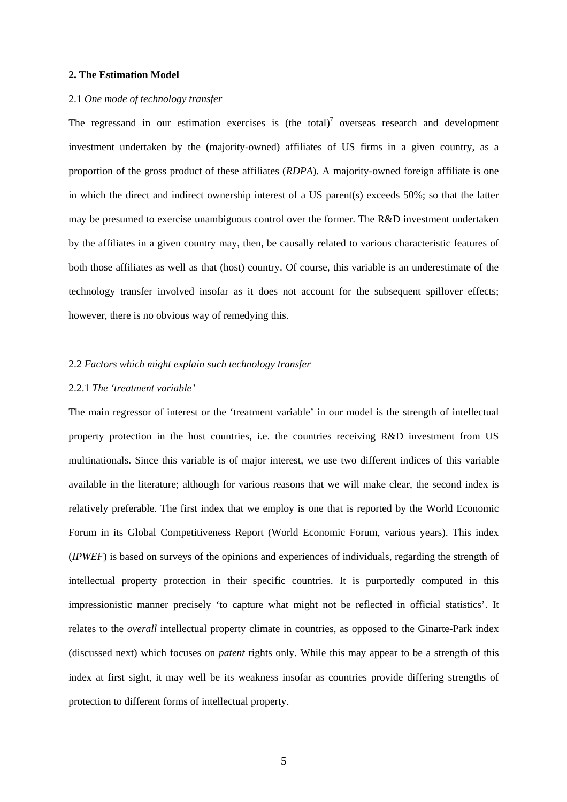#### **2. The Estimation Model**

#### 2.1 *One mode of technology transfer*

The regressand in our estimation exercises is (the total)<sup>[7](#page-40-6)</sup> overseas research and development investment undertaken by the (majority-owned) affiliates of US firms in a given country, as a proportion of the gross product of these affiliates (*RDPA*). A majority-owned foreign affiliate is one in which the direct and indirect ownership interest of a US parent(s) exceeds 50%; so that the latter may be presumed to exercise unambiguous control over the former. The R&D investment undertaken by the affiliates in a given country may, then, be causally related to various characteristic features of both those affiliates as well as that (host) country. Of course, this variable is an underestimate of the technology transfer involved insofar as it does not account for the subsequent spillover effects; however, there is no obvious way of remedying this.

#### 2.2 *Factors which might explain such technology transfer*

## 2.2.1 *The 'treatment variable'*

The main regressor of interest or the 'treatment variable' in our model is the strength of intellectual property protection in the host countries, i.e. the countries receiving R&D investment from US multinationals. Since this variable is of major interest, we use two different indices of this variable available in the literature; although for various reasons that we will make clear, the second index is relatively preferable. The first index that we employ is one that is reported by the World Economic Forum in its Global Competitiveness Report (World Economic Forum, various years). This index (*IPWEF*) is based on surveys of the opinions and experiences of individuals, regarding the strength of intellectual property protection in their specific countries. It is purportedly computed in this impressionistic manner precisely 'to capture what might not be reflected in official statistics'. It relates to the *overall* intellectual property climate in countries, as opposed to the Ginarte-Park index (discussed next) which focuses on *patent* rights only. While this may appear to be a strength of this index at first sight, it may well be its weakness insofar as countries provide differing strengths of protection to different forms of intellectual property.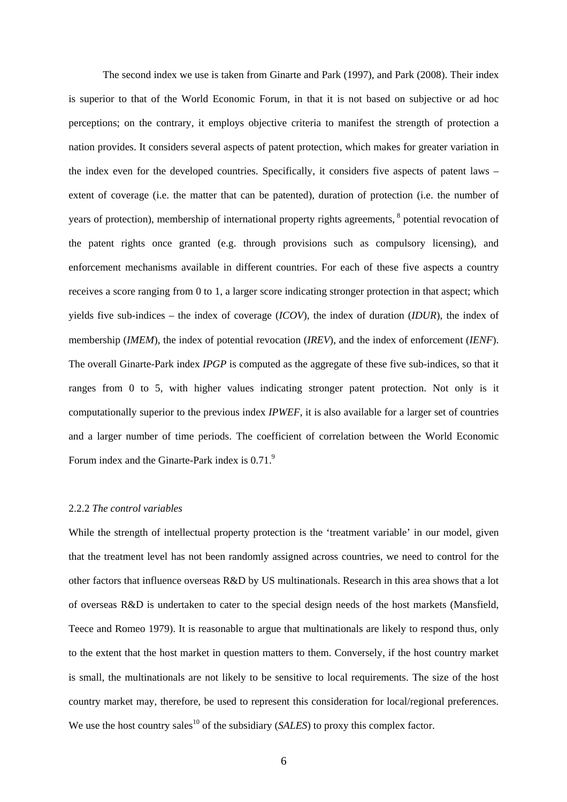The second index we use is taken from Ginarte and Park (1997), and Park (2008). Their index is superior to that of the World Economic Forum, in that it is not based on subjective or ad hoc perceptions; on the contrary, it employs objective criteria to manifest the strength of protection a nation provides. It considers several aspects of patent protection, which makes for greater variation in the index even for the developed countries. Specifically, it considers five aspects of patent laws – extent of coverage (i.e. the matter that can be patented), duration of protection (i.e. the number of years of protection), membership of international property rights agreements, <sup>8</sup> potential revocation of the patent rights once granted (e.g. through provisions such as compulsory licensing), and enforcement mechanisms available in different countries. For each of these five aspects a country receives a score ranging from 0 to 1, a larger score indicating stronger protection in that aspect; which yields five sub-indices – the index of coverage (*ICOV*), the index of duration (*IDUR*), the index of membership (*IMEM*), the index of potential revocation (*IREV*), and the index of enforcement (*IENF*). The overall Ginarte-Park index *IPGP* is computed as the aggregate of these five sub-indices, so that it ranges from 0 to 5, with higher values indicating stronger patent protection. Not only is it computationally superior to the previous index *IPWEF*, it is also available for a larger set of countries and a larger number of time periods. The coefficient of correlation between the World Economic Forum index and the Ginarte-Park index is  $0.71<sup>9</sup>$ .

## 2.2.2 *The control variables*

While the strength of intellectual property protection is the 'treatment variable' in our model, given that the treatment level has not been randomly assigned across countries, we need to control for the other factors that influence overseas R&D by US multinationals. Research in this area shows that a lot of overseas R&D is undertaken to cater to the special design needs of the host markets (Mansfield, Teece and Romeo 1979). It is reasonable to argue that multinationals are likely to respond thus, only to the extent that the host market in question matters to them. Conversely, if the host country market is small, the multinationals are not likely to be sensitive to local requirements. The size of the host country market may, therefore, be used to represent this consideration for local/regional preferences. We use the host country sales<sup>10</sup> of the subsidiary (*SALES*) to proxy this complex factor.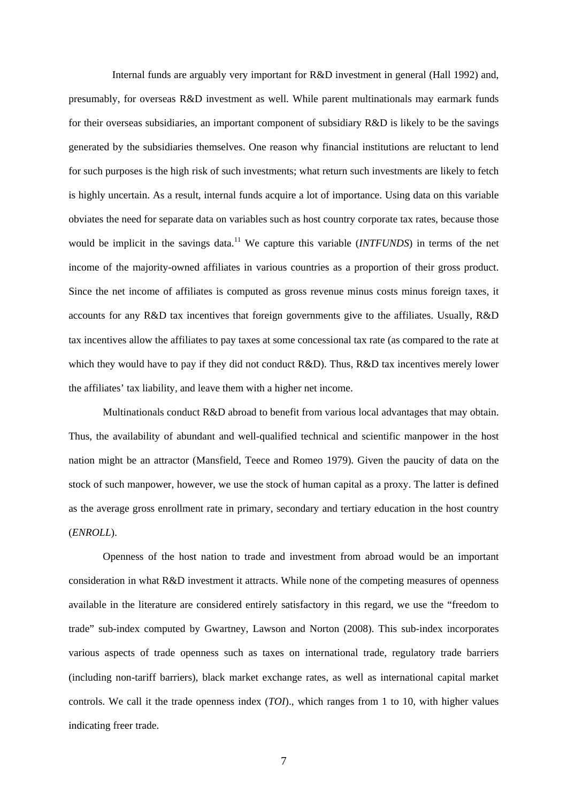Internal funds are arguably very important for R&D investment in general (Hall 1992) and, presumably, for overseas R&D investment as well. While parent multinationals may earmark funds for their overseas subsidiaries, an important component of subsidiary R&D is likely to be the savings generated by the subsidiaries themselves. One reason why financial institutions are reluctant to lend for such purposes is the high risk of such investments; what return such investments are likely to fetch is highly uncertain. As a result, internal funds acquire a lot of importance. Using data on this variable obviates the need for separate data on variables such as host country corporate tax rates, because those would be implicit in the savings data.<sup>11</sup> We capture this variable *(INTFUNDS)* in terms of the net income of the majority-owned affiliates in various countries as a proportion of their gross product. Since the net income of affiliates is computed as gross revenue minus costs minus foreign taxes, it accounts for any R&D tax incentives that foreign governments give to the affiliates. Usually, R&D tax incentives allow the affiliates to pay taxes at some concessional tax rate (as compared to the rate at which they would have to pay if they did not conduct R&D). Thus, R&D tax incentives merely lower the affiliates' tax liability, and leave them with a higher net income.

Multinationals conduct R&D abroad to benefit from various local advantages that may obtain. Thus, the availability of abundant and well-qualified technical and scientific manpower in the host nation might be an attractor (Mansfield, Teece and Romeo 1979). Given the paucity of data on the stock of such manpower, however, we use the stock of human capital as a proxy. The latter is defined as the average gross enrollment rate in primary, secondary and tertiary education in the host country (*ENROLL*).

Openness of the host nation to trade and investment from abroad would be an important consideration in what R&D investment it attracts. While none of the competing measures of openness available in the literature are considered entirely satisfactory in this regard, we use the "freedom to trade" sub-index computed by Gwartney, Lawson and Norton (2008). This sub-index incorporates various aspects of trade openness such as taxes on international trade, regulatory trade barriers (including non-tariff barriers), black market exchange rates, as well as international capital market controls. We call it the trade openness index (*TOI*)., which ranges from 1 to 10, with higher values indicating freer trade.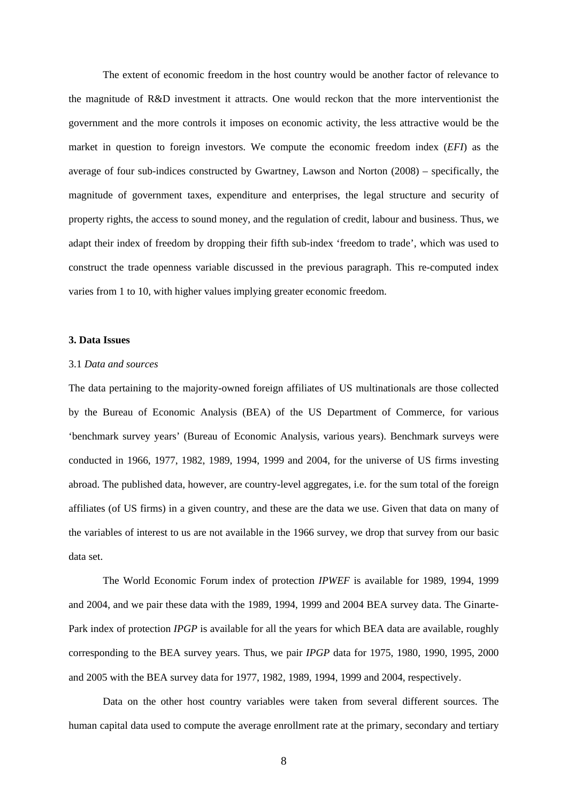The extent of economic freedom in the host country would be another factor of relevance to the magnitude of R&D investment it attracts. One would reckon that the more interventionist the government and the more controls it imposes on economic activity, the less attractive would be the market in question to foreign investors. We compute the economic freedom index (*EFI*) as the average of four sub-indices constructed by Gwartney, Lawson and Norton (2008) – specifically, the magnitude of government taxes, expenditure and enterprises, the legal structure and security of property rights, the access to sound money, and the regulation of credit, labour and business. Thus, we adapt their index of freedom by dropping their fifth sub-index 'freedom to trade', which was used to construct the trade openness variable discussed in the previous paragraph. This re-computed index varies from 1 to 10, with higher values implying greater economic freedom.

## **3. Data Issues**

#### 3.1 *Data and sources*

The data pertaining to the majority-owned foreign affiliates of US multinationals are those collected by the Bureau of Economic Analysis (BEA) of the US Department of Commerce, for various 'benchmark survey years' (Bureau of Economic Analysis, various years). Benchmark surveys were conducted in 1966, 1977, 1982, 1989, 1994, 1999 and 2004, for the universe of US firms investing abroad. The published data, however, are country-level aggregates, i.e. for the sum total of the foreign affiliates (of US firms) in a given country, and these are the data we use. Given that data on many of the variables of interest to us are not available in the 1966 survey, we drop that survey from our basic data set.

The World Economic Forum index of protection *IPWEF* is available for 1989, 1994, 1999 and 2004, and we pair these data with the 1989, 1994, 1999 and 2004 BEA survey data. The Ginarte-Park index of protection *IPGP* is available for all the years for which BEA data are available, roughly corresponding to the BEA survey years. Thus, we pair *IPGP* data for 1975, 1980, 1990, 1995, 2000 and 2005 with the BEA survey data for 1977, 1982, 1989, 1994, 1999 and 2004, respectively.

Data on the other host country variables were taken from several different sources. The human capital data used to compute the average enrollment rate at the primary, secondary and tertiary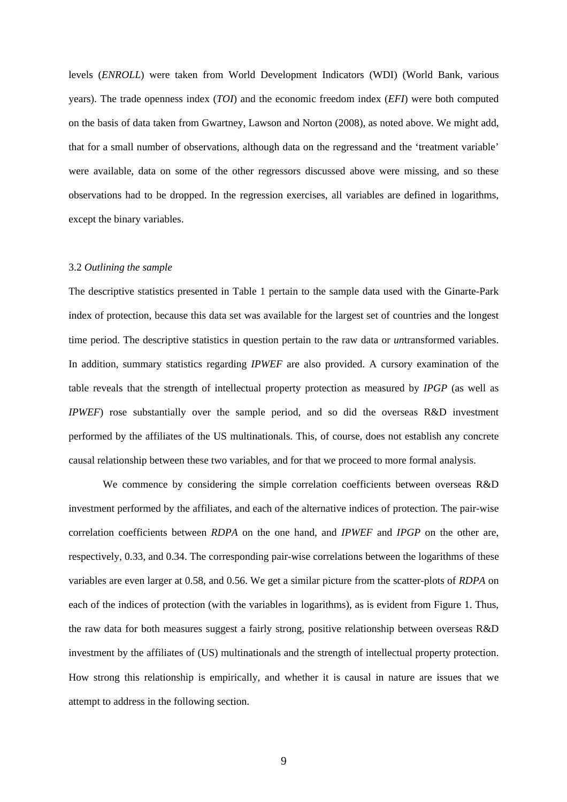levels (*ENROLL*) were taken from World Development Indicators (WDI) (World Bank, various years). The trade openness index (*TOI*) and the economic freedom index (*EFI*) were both computed on the basis of data taken from Gwartney, Lawson and Norton (2008), as noted above. We might add, that for a small number of observations, although data on the regressand and the 'treatment variable' were available, data on some of the other regressors discussed above were missing, and so these observations had to be dropped. In the regression exercises, all variables are defined in logarithms, except the binary variables.

#### 3.2 *Outlining the sample*

The descriptive statistics presented in Table 1 pertain to the sample data used with the Ginarte-Park index of protection, because this data set was available for the largest set of countries and the longest time period. The descriptive statistics in question pertain to the raw data or *un*transformed variables. In addition, summary statistics regarding *IPWEF* are also provided. A cursory examination of the table reveals that the strength of intellectual property protection as measured by *IPGP* (as well as *IPWEF*) rose substantially over the sample period, and so did the overseas R&D investment performed by the affiliates of the US multinationals. This, of course, does not establish any concrete causal relationship between these two variables, and for that we proceed to more formal analysis.

We commence by considering the simple correlation coefficients between overseas R&D investment performed by the affiliates, and each of the alternative indices of protection. The pair-wise correlation coefficients between *RDPA* on the one hand, and *IPWEF* and *IPGP* on the other are, respectively, 0.33, and 0.34. The corresponding pair-wise correlations between the logarithms of these variables are even larger at 0.58, and 0.56. We get a similar picture from the scatter-plots of *RDPA* on each of the indices of protection (with the variables in logarithms), as is evident from Figure 1. Thus, the raw data for both measures suggest a fairly strong, positive relationship between overseas R&D investment by the affiliates of (US) multinationals and the strength of intellectual property protection. How strong this relationship is empirically, and whether it is causal in nature are issues that we attempt to address in the following section.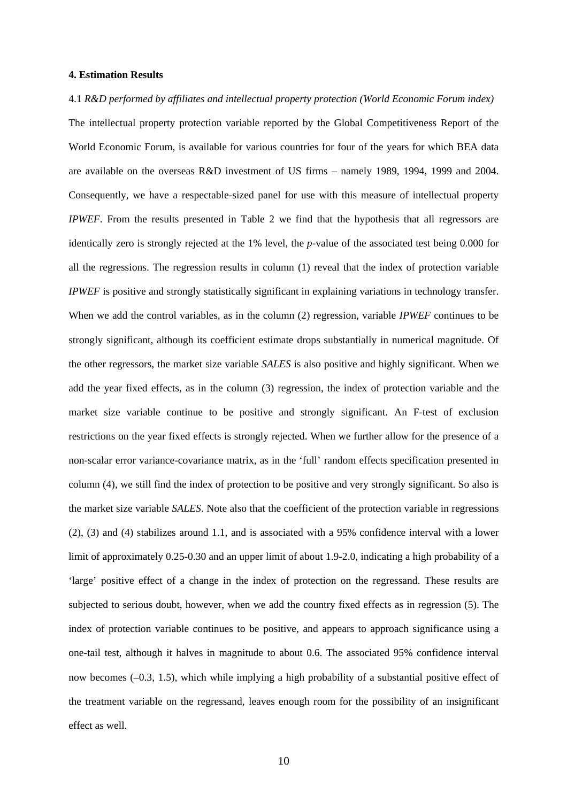#### **4. Estimation Results**

4.1 *R&D performed by affiliates and intellectual property protection (World Economic Forum index)*  The intellectual property protection variable reported by the Global Competitiveness Report of the World Economic Forum, is available for various countries for four of the years for which BEA data are available on the overseas R&D investment of US firms – namely 1989, 1994, 1999 and 2004. Consequently, we have a respectable-sized panel for use with this measure of intellectual property *IPWEF*. From the results presented in Table 2 we find that the hypothesis that all regressors are identically zero is strongly rejected at the 1% level, the *p*-value of the associated test being 0.000 for all the regressions. The regression results in column (1) reveal that the index of protection variable *IPWEF* is positive and strongly statistically significant in explaining variations in technology transfer. When we add the control variables, as in the column (2) regression, variable *IPWEF* continues to be strongly significant, although its coefficient estimate drops substantially in numerical magnitude. Of the other regressors, the market size variable *SALES* is also positive and highly significant. When we add the year fixed effects, as in the column (3) regression, the index of protection variable and the market size variable continue to be positive and strongly significant. An F-test of exclusion restrictions on the year fixed effects is strongly rejected. When we further allow for the presence of a non-scalar error variance-covariance matrix, as in the 'full' random effects specification presented in column (4), we still find the index of protection to be positive and very strongly significant. So also is the market size variable *SALES*. Note also that the coefficient of the protection variable in regressions (2), (3) and (4) stabilizes around 1.1, and is associated with a 95% confidence interval with a lower limit of approximately 0.25-0.30 and an upper limit of about 1.9-2.0, indicating a high probability of a 'large' positive effect of a change in the index of protection on the regressand. These results are subjected to serious doubt, however, when we add the country fixed effects as in regression (5). The index of protection variable continues to be positive, and appears to approach significance using a one-tail test, although it halves in magnitude to about 0.6. The associated 95% confidence interval now becomes (–0.3, 1.5), which while implying a high probability of a substantial positive effect of the treatment variable on the regressand, leaves enough room for the possibility of an insignificant effect as well.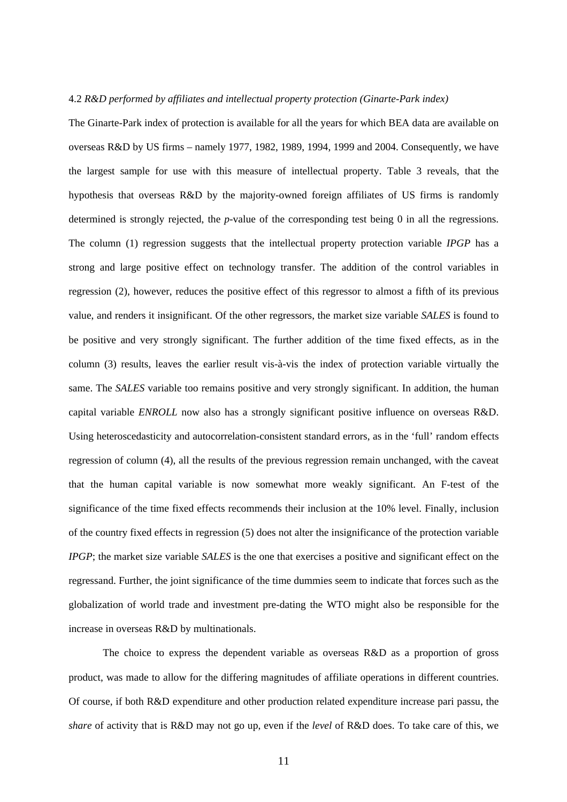#### 4.2 *R&D performed by affiliates and intellectual property protection (Ginarte-Park index)*

The Ginarte-Park index of protection is available for all the years for which BEA data are available on overseas R&D by US firms – namely 1977, 1982, 1989, 1994, 1999 and 2004. Consequently, we have the largest sample for use with this measure of intellectual property. Table 3 reveals, that the hypothesis that overseas R&D by the majority-owned foreign affiliates of US firms is randomly determined is strongly rejected, the *p*-value of the corresponding test being 0 in all the regressions. The column (1) regression suggests that the intellectual property protection variable *IPGP* has a strong and large positive effect on technology transfer. The addition of the control variables in regression (2), however, reduces the positive effect of this regressor to almost a fifth of its previous value, and renders it insignificant. Of the other regressors, the market size variable *SALES* is found to be positive and very strongly significant. The further addition of the time fixed effects, as in the column (3) results, leaves the earlier result vis-à-vis the index of protection variable virtually the same. The *SALES* variable too remains positive and very strongly significant. In addition, the human capital variable *ENROLL* now also has a strongly significant positive influence on overseas R&D. Using heteroscedasticity and autocorrelation-consistent standard errors, as in the 'full' random effects regression of column (4), all the results of the previous regression remain unchanged, with the caveat that the human capital variable is now somewhat more weakly significant. An F-test of the significance of the time fixed effects recommends their inclusion at the 10% level. Finally, inclusion of the country fixed effects in regression (5) does not alter the insignificance of the protection variable *IPGP*; the market size variable *SALES* is the one that exercises a positive and significant effect on the regressand. Further, the joint significance of the time dummies seem to indicate that forces such as the globalization of world trade and investment pre-dating the WTO might also be responsible for the increase in overseas R&D by multinationals.

The choice to express the dependent variable as overseas R&D as a proportion of gross product, was made to allow for the differing magnitudes of affiliate operations in different countries. Of course, if both R&D expenditure and other production related expenditure increase pari passu, the *share* of activity that is R&D may not go up, even if the *level* of R&D does. To take care of this, we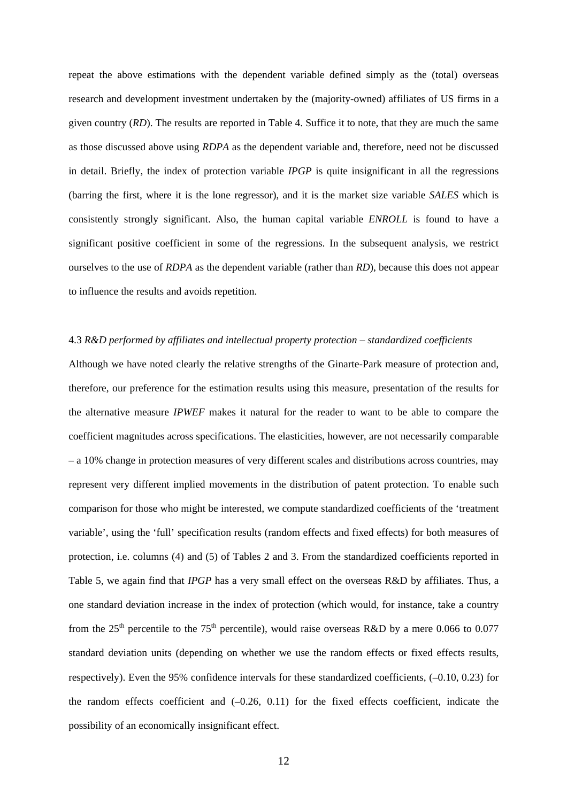repeat the above estimations with the dependent variable defined simply as the (total) overseas research and development investment undertaken by the (majority-owned) affiliates of US firms in a given country (*RD*). The results are reported in Table 4. Suffice it to note, that they are much the same as those discussed above using *RDPA* as the dependent variable and, therefore, need not be discussed in detail. Briefly, the index of protection variable *IPGP* is quite insignificant in all the regressions (barring the first, where it is the lone regressor), and it is the market size variable *SALES* which is consistently strongly significant. Also, the human capital variable *ENROLL* is found to have a significant positive coefficient in some of the regressions. In the subsequent analysis, we restrict ourselves to the use of *RDPA* as the dependent variable (rather than *RD*), because this does not appear to influence the results and avoids repetition.

# 4.3 *R&D performed by affiliates and intellectual property protection – standardized coefficients*

Although we have noted clearly the relative strengths of the Ginarte-Park measure of protection and, therefore, our preference for the estimation results using this measure, presentation of the results for the alternative measure *IPWEF* makes it natural for the reader to want to be able to compare the coefficient magnitudes across specifications. The elasticities, however, are not necessarily comparable – a 10% change in protection measures of very different scales and distributions across countries, may represent very different implied movements in the distribution of patent protection. To enable such comparison for those who might be interested, we compute standardized coefficients of the 'treatment variable', using the 'full' specification results (random effects and fixed effects) for both measures of protection, i.e. columns (4) and (5) of Tables 2 and 3. From the standardized coefficients reported in Table 5, we again find that *IPGP* has a very small effect on the overseas R&D by affiliates. Thus, a one standard deviation increase in the index of protection (which would, for instance, take a country from the  $25<sup>th</sup>$  percentile to the 75<sup>th</sup> percentile), would raise overseas R&D by a mere 0.066 to 0.077 standard deviation units (depending on whether we use the random effects or fixed effects results, respectively). Even the 95% confidence intervals for these standardized coefficients, (–0.10, 0.23) for the random effects coefficient and  $(-0.26, 0.11)$  for the fixed effects coefficient, indicate the possibility of an economically insignificant effect.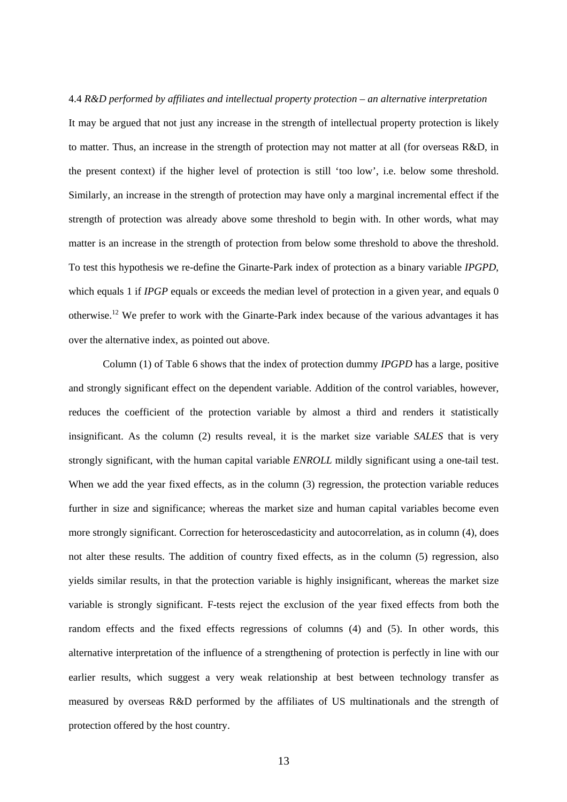4.4 *R&D performed by affiliates and intellectual property protection – an alternative interpretation*  It may be argued that not just any increase in the strength of intellectual property protection is likely to matter. Thus, an increase in the strength of protection may not matter at all (for overseas R&D, in the present context) if the higher level of protection is still 'too low', i.e. below some threshold. Similarly, an increase in the strength of protection may have only a marginal incremental effect if the strength of protection was already above some threshold to begin with. In other words, what may matter is an increase in the strength of protection from below some threshold to above the threshold. To test this hypothesis we re-define the Ginarte-Park index of protection as a binary variable *IPGPD*, which equals 1 if *IPGP* equals or exceeds the median level of protection in a given year, and equals 0 otherwise.[12](#page-40-11) We prefer to work with the Ginarte-Park index because of the various advantages it has over the alternative index, as pointed out above.

Column (1) of Table 6 shows that the index of protection dummy *IPGPD* has a large, positive and strongly significant effect on the dependent variable. Addition of the control variables, however, reduces the coefficient of the protection variable by almost a third and renders it statistically insignificant. As the column (2) results reveal, it is the market size variable *SALES* that is very strongly significant, with the human capital variable *ENROLL* mildly significant using a one-tail test. When we add the year fixed effects, as in the column (3) regression, the protection variable reduces further in size and significance; whereas the market size and human capital variables become even more strongly significant. Correction for heteroscedasticity and autocorrelation, as in column (4), does not alter these results. The addition of country fixed effects, as in the column (5) regression, also yields similar results, in that the protection variable is highly insignificant, whereas the market size variable is strongly significant. F-tests reject the exclusion of the year fixed effects from both the random effects and the fixed effects regressions of columns (4) and (5). In other words, this alternative interpretation of the influence of a strengthening of protection is perfectly in line with our earlier results, which suggest a very weak relationship at best between technology transfer as measured by overseas R&D performed by the affiliates of US multinationals and the strength of protection offered by the host country.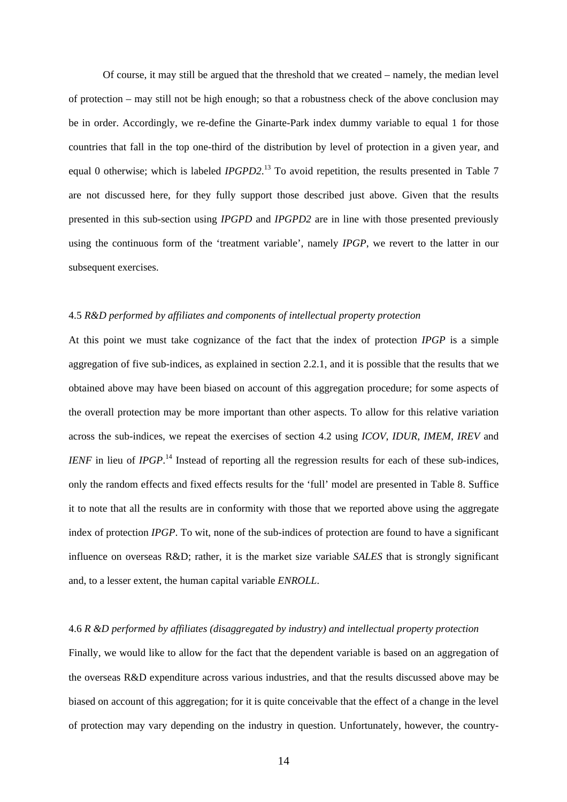Of course, it may still be argued that the threshold that we created – namely, the median level of protection – may still not be high enough; so that a robustness check of the above conclusion may be in order. Accordingly, we re-define the Ginarte-Park index dummy variable to equal 1 for those countries that fall in the top one-third of the distribution by level of protection in a given year, and equal 0 otherwise; which is labeled *IPGPD2*. [13](#page-40-12) To avoid repetition, the results presented in Table 7 are not discussed here, for they fully support those described just above. Given that the results presented in this sub-section using *IPGPD* and *IPGPD2* are in line with those presented previously using the continuous form of the 'treatment variable', namely *IPGP*, we revert to the latter in our subsequent exercises.

#### 4.5 *R&D performed by affiliates and components of intellectual property protection*

At this point we must take cognizance of the fact that the index of protection *IPGP* is a simple aggregation of five sub-indices, as explained in section 2.2.1, and it is possible that the results that we obtained above may have been biased on account of this aggregation procedure; for some aspects of the overall protection may be more important than other aspects. To allow for this relative variation across the sub-indices, we repeat the exercises of section 4.2 using *ICOV*, *IDUR*, *IMEM*, *IREV* and *IENF* in lieu of *IPGP*.<sup>14</sup> Instead of reporting all the regression results for each of these sub-indices, only the random effects and fixed effects results for the 'full' model are presented in Table 8. Suffice it to note that all the results are in conformity with those that we reported above using the aggregate index of protection *IPGP*. To wit, none of the sub-indices of protection are found to have a significant influence on overseas R&D; rather, it is the market size variable *SALES* that is strongly significant and, to a lesser extent, the human capital variable *ENROLL*.

#### 4.6 *R &D performed by affiliates (disaggregated by industry) and intellectual property protection*

Finally, we would like to allow for the fact that the dependent variable is based on an aggregation of the overseas R&D expenditure across various industries, and that the results discussed above may be biased on account of this aggregation; for it is quite conceivable that the effect of a change in the level of protection may vary depending on the industry in question. Unfortunately, however, the country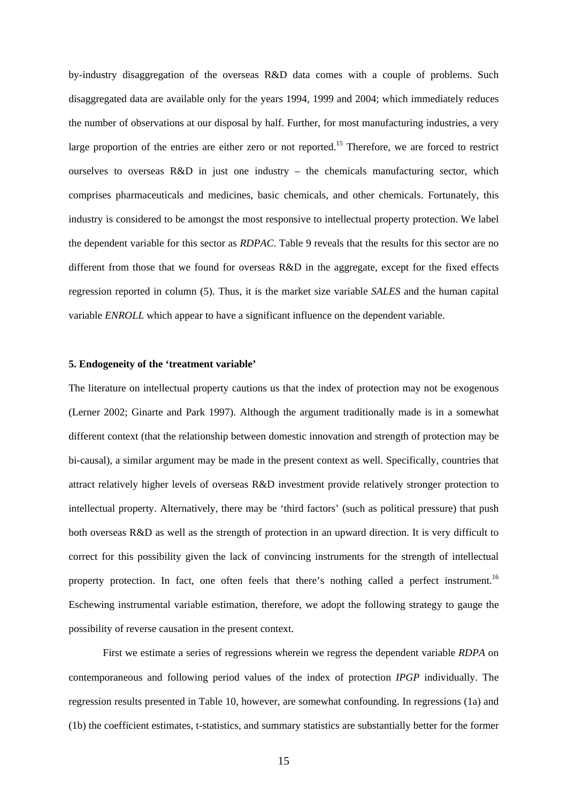by-industry disaggregation of the overseas R&D data comes with a couple of problems. Such disaggregated data are available only for the years 1994, 1999 and 2004; which immediately reduces the number of observations at our disposal by half. Further, for most manufacturing industries, a very large proportion of the entries are either zero or not reported.<sup>15</sup> Therefore, we are forced to restrict ourselves to overseas R&D in just one industry – the chemicals manufacturing sector, which comprises pharmaceuticals and medicines, basic chemicals, and other chemicals. Fortunately, this industry is considered to be amongst the most responsive to intellectual property protection. We label the dependent variable for this sector as *RDPAC*. Table 9 reveals that the results for this sector are no different from those that we found for overseas R&D in the aggregate, except for the fixed effects regression reported in column (5). Thus, it is the market size variable *SALES* and the human capital variable *ENROLL* which appear to have a significant influence on the dependent variable.

## **5. Endogeneity of the 'treatment variable'**

The literature on intellectual property cautions us that the index of protection may not be exogenous (Lerner 2002; Ginarte and Park 1997). Although the argument traditionally made is in a somewhat different context (that the relationship between domestic innovation and strength of protection may be bi-causal), a similar argument may be made in the present context as well. Specifically, countries that attract relatively higher levels of overseas R&D investment provide relatively stronger protection to intellectual property. Alternatively, there may be 'third factors' (such as political pressure) that push both overseas R&D as well as the strength of protection in an upward direction. It is very difficult to correct for this possibility given the lack of convincing instruments for the strength of intellectual property protection. In fact, one often feels that there's nothing called a perfect instrument.<sup>16</sup> Eschewing instrumental variable estimation, therefore, we adopt the following strategy to gauge the possibility of reverse causation in the present context.

First we estimate a series of regressions wherein we regress the dependent variable *RDPA* on contemporaneous and following period values of the index of protection *IPGP* individually. The regression results presented in Table 10, however, are somewhat confounding. In regressions (1a) and (1b) the coefficient estimates, t-statistics, and summary statistics are substantially better for the former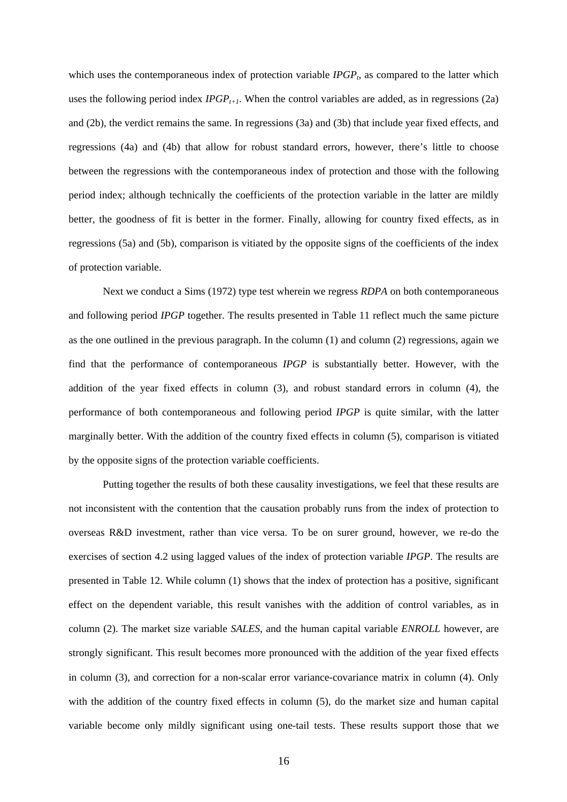which uses the contemporaneous index of protection variable  $IPGP<sub>t</sub>$ , as compared to the latter which uses the following period index  $IPGP_{t+1}$ . When the control variables are added, as in regressions (2a) and (2b), the verdict remains the same. In regressions (3a) and (3b) that include year fixed effects, and regressions (4a) and (4b) that allow for robust standard errors, however, there's little to choose between the regressions with the contemporaneous index of protection and those with the following period index; although technically the coefficients of the protection variable in the latter are mildly better, the goodness of fit is better in the former. Finally, allowing for country fixed effects, as in regressions (5a) and (5b), comparison is vitiated by the opposite signs of the coefficients of the index of protection variable.

Next we conduct a Sims (1972) type test wherein we regress *RDPA* on both contemporaneous and following period *IPGP* together. The results presented in Table 11 reflect much the same picture as the one outlined in the previous paragraph. In the column (1) and column (2) regressions, again we find that the performance of contemporaneous *IPGP* is substantially better. However, with the addition of the year fixed effects in column (3), and robust standard errors in column (4), the performance of both contemporaneous and following period *IPGP* is quite similar, with the latter marginally better. With the addition of the country fixed effects in column (5), comparison is vitiated by the opposite signs of the protection variable coefficients.

Putting together the results of both these causality investigations, we feel that these results are not inconsistent with the contention that the causation probably runs from the index of protection to overseas R&D investment, rather than vice versa. To be on surer ground, however, we re-do the exercises of section 4.2 using lagged values of the index of protection variable *IPGP*. The results are presented in Table 12. While column (1) shows that the index of protection has a positive, significant effect on the dependent variable, this result vanishes with the addition of control variables, as in column (2). The market size variable *SALES*, and the human capital variable *ENROLL* however, are strongly significant. This result becomes more pronounced with the addition of the year fixed effects in column (3), and correction for a non-scalar error variance-covariance matrix in column (4). Only with the addition of the country fixed effects in column (5), do the market size and human capital variable become only mildly significant using one-tail tests. These results support those that we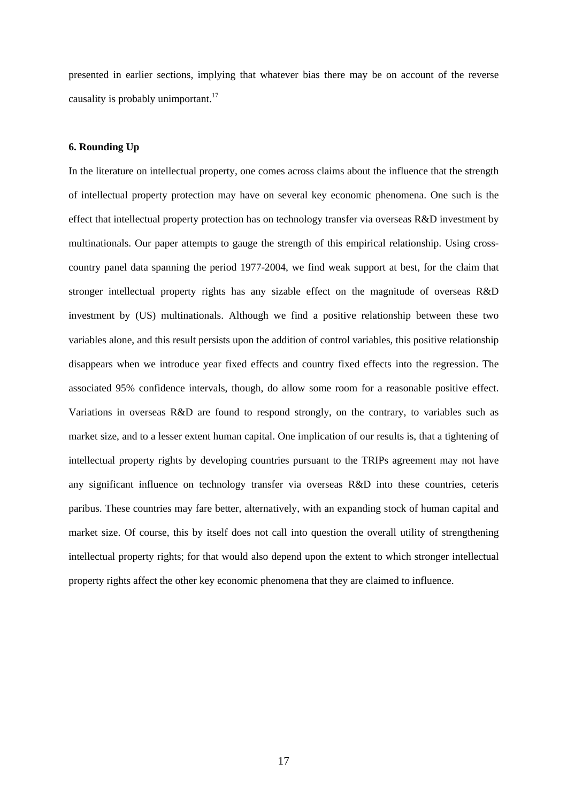presented in earlier sections, implying that whatever bias there may be on account of the reverse causality is probably unimportant.<sup>[17](#page-40-16)</sup>

#### **6. Rounding Up**

In the literature on intellectual property, one comes across claims about the influence that the strength of intellectual property protection may have on several key economic phenomena. One such is the effect that intellectual property protection has on technology transfer via overseas R&D investment by multinationals. Our paper attempts to gauge the strength of this empirical relationship. Using crosscountry panel data spanning the period 1977-2004, we find weak support at best, for the claim that stronger intellectual property rights has any sizable effect on the magnitude of overseas R&D investment by (US) multinationals. Although we find a positive relationship between these two variables alone, and this result persists upon the addition of control variables, this positive relationship disappears when we introduce year fixed effects and country fixed effects into the regression. The associated 95% confidence intervals, though, do allow some room for a reasonable positive effect. Variations in overseas R&D are found to respond strongly, on the contrary, to variables such as market size, and to a lesser extent human capital. One implication of our results is, that a tightening of intellectual property rights by developing countries pursuant to the TRIPs agreement may not have any significant influence on technology transfer via overseas R&D into these countries, ceteris paribus. These countries may fare better, alternatively, with an expanding stock of human capital and market size. Of course, this by itself does not call into question the overall utility of strengthening intellectual property rights; for that would also depend upon the extent to which stronger intellectual property rights affect the other key economic phenomena that they are claimed to influence.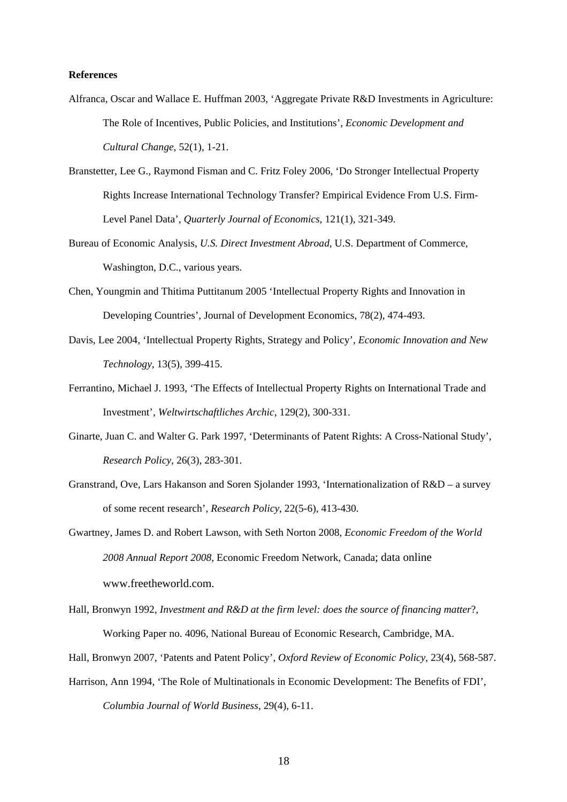#### **References**

- Alfranca, Oscar and Wallace E. Huffman 2003, 'Aggregate Private R&D Investments in Agriculture: The Role of Incentives, Public Policies, and Institutions', *Economic Development and Cultural Change*, 52(1), 1-21.
- Branstetter, Lee G., Raymond Fisman and C. Fritz Foley 2006, 'Do Stronger Intellectual Property Rights Increase International Technology Transfer? Empirical Evidence From U.S. Firm-Level Panel Data', *Quarterly Journal of Economics*, 121(1), 321-349.
- Bureau of Economic Analysis, *U.S. Direct Investment Abroad*, U.S. Department of Commerce, Washington, D.C., various years.
- Chen, Youngmin and Thitima Puttitanum 2005 'Intellectual Property Rights and Innovation in Developing Countries', Journal of Development Economics, 78(2), 474-493.
- Davis, Lee 2004, 'Intellectual Property Rights, Strategy and Policy', *Economic Innovation and New Technology*, 13(5), 399-415.
- Ferrantino, Michael J. 1993, 'The Effects of Intellectual Property Rights on International Trade and Investment', *Weltwirtschaftliches Archic*, 129(2), 300-331.
- Ginarte, Juan C. and Walter G. Park 1997, 'Determinants of Patent Rights: A Cross-National Study', *Research Policy*, 26(3), 283-301.
- Granstrand, Ove, Lars Hakanson and Soren Sjolander 1993, 'Internationalization of R&D a survey of some recent research', *Research Policy*, 22(5-6), 413-430.
- Gwartney, James D. and Robert Lawson, with Seth Norton 2008, *Economic Freedom of the World 2008 Annual Report 2008*, Economic Freedom Network, Canada; data online www.freetheworld.com
- Hall, Bronwyn 1992, *Investment and R&D at the firm level: does the source of financing matter*?, Working Paper no. 4096, National Bureau of Economic Research, Cambridge, MA.
- Hall, Bronwyn 2007, 'Patents and Patent Policy', *Oxford Review of Economic Policy*, 23(4), 568-587.
- Harrison, Ann 1994, 'The Role of Multinationals in Economic Development: The Benefits of FDI', *Columbia Journal of World Business*, 29(4), 6-11.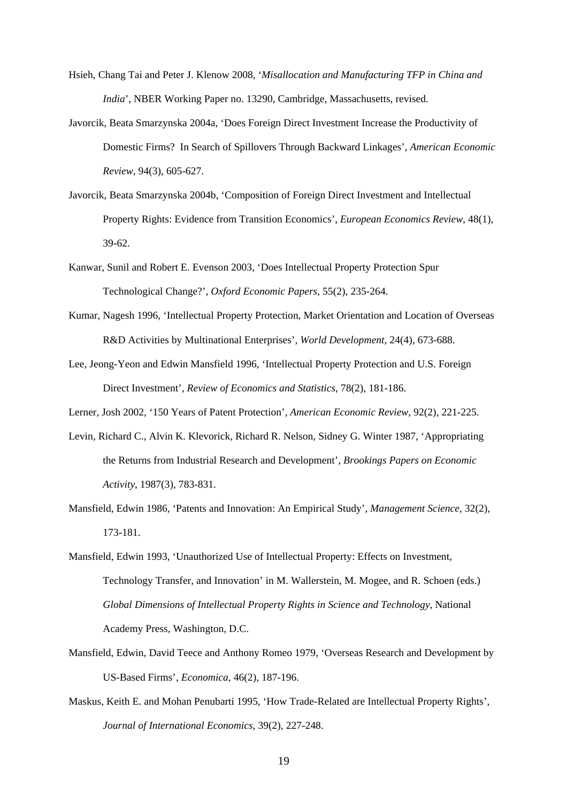- Hsieh, Chang Tai and Peter J. Klenow 2008, '*Misallocation and Manufacturing TFP in China and India*', NBER Working Paper no. 13290, Cambridge, Massachusetts, revised.
- Javorcik, Beata Smarzynska 2004a, 'Does Foreign Direct Investment Increase the Productivity of Domestic Firms? In Search of Spillovers Through Backward Linkages', *American Economic Review*, 94(3), 605-627.
- Javorcik, Beata Smarzynska 2004b, 'Composition of Foreign Direct Investment and Intellectual Property Rights: Evidence from Transition Economics', *European Economics Review*, 48(1), 39-62.
- Kanwar, Sunil and Robert E. Evenson 2003, 'Does Intellectual Property Protection Spur Technological Change?', *Oxford Economic Papers*, 55(2), 235-264.
- Kumar, Nagesh 1996, 'Intellectual Property Protection, Market Orientation and Location of Overseas R&D Activities by Multinational Enterprises', *World Development*, 24(4), 673-688.
- Lee, Jeong-Yeon and Edwin Mansfield 1996, 'Intellectual Property Protection and U.S. Foreign Direct Investment', *Review of Economics and Statistics*, 78(2), 181-186.

Lerner, Josh 2002, '150 Years of Patent Protection', *American Economic Review*, 92(2), 221-225.

- Levin, Richard C., Alvin K. Klevorick, Richard R. Nelson, Sidney G. Winter 1987, 'Appropriating the Returns from Industrial Research and Development', *Brookings Papers on Economic Activity*, 1987(3), 783-831.
- Mansfield, Edwin 1986, 'Patents and Innovation: An Empirical Study', *Management Science*, 32(2), 173-181.
- Mansfield, Edwin 1993, 'Unauthorized Use of Intellectual Property: Effects on Investment, Technology Transfer, and Innovation' in M. Wallerstein, M. Mogee, and R. Schoen (eds.) *Global Dimensions of Intellectual Property Rights in Science and Technology*, National Academy Press, Washington, D.C.
- Mansfield, Edwin, David Teece and Anthony Romeo 1979, 'Overseas Research and Development by US-Based Firms', *Economica*, 46(2), 187-196.
- Maskus, Keith E. and Mohan Penubarti 1995, 'How Trade-Related are Intellectual Property Rights', *Journal of International Economics*, 39(2), 227-248.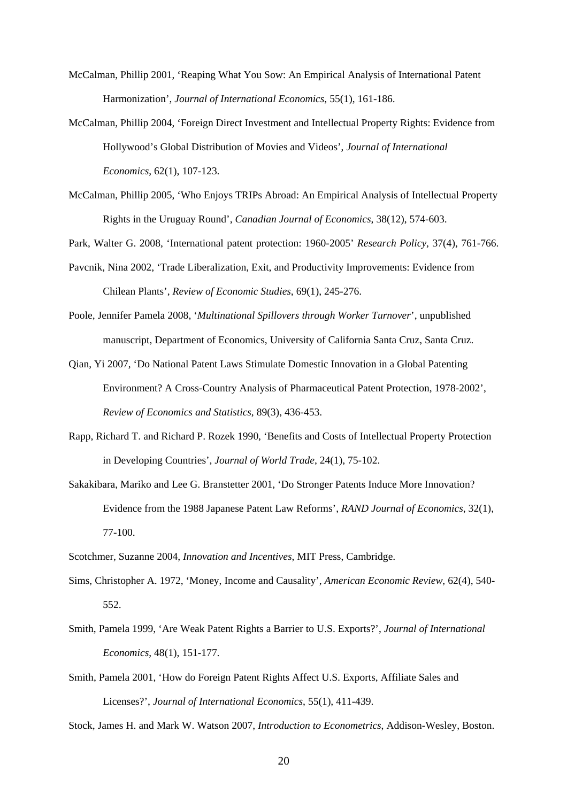- McCalman, Phillip 2001, 'Reaping What You Sow: An Empirical Analysis of International Patent Harmonization', *Journal of International Economics*, 55(1), 161-186.
- McCalman, Phillip 2004, 'Foreign Direct Investment and Intellectual Property Rights: Evidence from Hollywood's Global Distribution of Movies and Videos', *Journal of International Economics*, 62(1), 107-123.
- McCalman, Phillip 2005, 'Who Enjoys TRIPs Abroad: An Empirical Analysis of Intellectual Property Rights in the Uruguay Round', *Canadian Journal of Economics*, 38(12), 574-603.
- Park, Walter G. 2008, 'International patent protection: 1960-2005' *Research Policy*, 37(4), 761-766.
- Pavcnik, Nina 2002, 'Trade Liberalization, Exit, and Productivity Improvements: Evidence from Chilean Plants', *Review of Economic Studies*, 69(1), 245-276.
- Poole, Jennifer Pamela 2008, '*Multinational Spillovers through Worker Turnover*', unpublished manuscript, Department of Economics, University of California Santa Cruz, Santa Cruz.
- Qian, Yi 2007, 'Do National Patent Laws Stimulate Domestic Innovation in a Global Patenting Environment? A Cross-Country Analysis of Pharmaceutical Patent Protection, 1978-2002', *Review of Economics and Statistics*, 89(3), 436-453.
- Rapp, Richard T. and Richard P. Rozek 1990, 'Benefits and Costs of Intellectual Property Protection in Developing Countries', *Journal of World Trade*, 24(1), 75-102.
- Sakakibara, Mariko and Lee G. Branstetter 2001, 'Do Stronger Patents Induce More Innovation? Evidence from the 1988 Japanese Patent Law Reforms', *RAND Journal of Economics*, 32(1), 77-100.
- Scotchmer, Suzanne 2004, *Innovation and Incentives*, MIT Press, Cambridge.
- Sims, Christopher A. 1972, 'Money, Income and Causality', *American Economic Review*, 62(4), 540- 552.
- Smith, Pamela 1999, 'Are Weak Patent Rights a Barrier to U.S. Exports?', *Journal of International Economics*, 48(1), 151-177.
- Smith, Pamela 2001, 'How do Foreign Patent Rights Affect U.S. Exports, Affiliate Sales and Licenses?', *Journal of International Economics*, 55(1), 411-439.

Stock, James H. and Mark W. Watson 2007, *Introduction to Econometrics*, Addison-Wesley, Boston.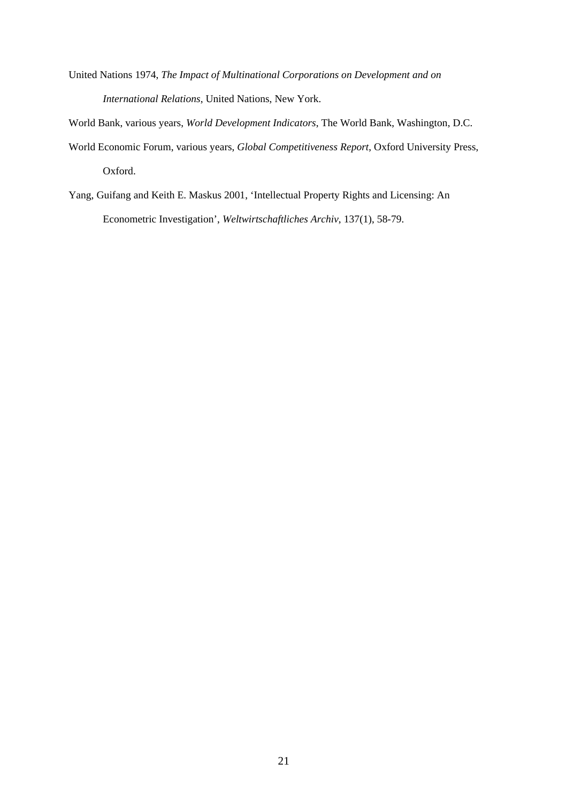- United Nations 1974, *The Impact of Multinational Corporations on Development and on International Relations*, United Nations, New York.
- World Bank, various years, *World Development Indicators*, The World Bank, Washington, D.C.
- World Economic Forum, various years, *Global Competitiveness Report*, Oxford University Press, Oxford.
- Yang, Guifang and Keith E. Maskus 2001, 'Intellectual Property Rights and Licensing: An Econometric Investigation', *Weltwirtschaftliches Archiv*, 137(1), 58-79.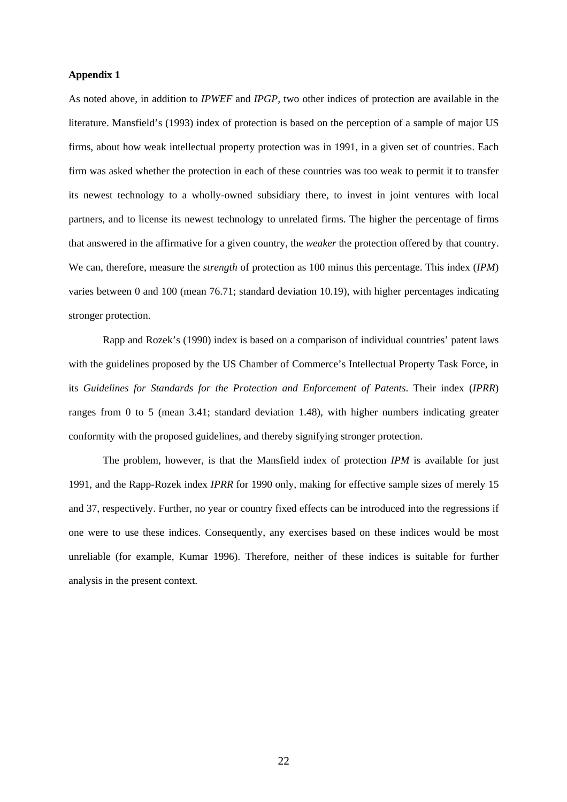### **Appendix 1**

As noted above, in addition to *IPWEF* and *IPGP*, two other indices of protection are available in the literature. Mansfield's (1993) index of protection is based on the perception of a sample of major US firms, about how weak intellectual property protection was in 1991, in a given set of countries. Each firm was asked whether the protection in each of these countries was too weak to permit it to transfer its newest technology to a wholly-owned subsidiary there, to invest in joint ventures with local partners, and to license its newest technology to unrelated firms. The higher the percentage of firms that answered in the affirmative for a given country, the *weaker* the protection offered by that country. We can, therefore, measure the *strength* of protection as 100 minus this percentage. This index (*IPM*) varies between 0 and 100 (mean 76.71; standard deviation 10.19), with higher percentages indicating stronger protection.

Rapp and Rozek's (1990) index is based on a comparison of individual countries' patent laws with the guidelines proposed by the US Chamber of Commerce's Intellectual Property Task Force, in its *Guidelines for Standards for the Protection and Enforcement of Patents*. Their index (*IPRR*) ranges from 0 to 5 (mean 3.41; standard deviation 1.48), with higher numbers indicating greater conformity with the proposed guidelines, and thereby signifying stronger protection.

The problem, however, is that the Mansfield index of protection *IPM* is available for just 1991, and the Rapp-Rozek index *IPRR* for 1990 only, making for effective sample sizes of merely 15 and 37, respectively. Further, no year or country fixed effects can be introduced into the regressions if one were to use these indices. Consequently, any exercises based on these indices would be most unreliable (for example, Kumar 1996). Therefore, neither of these indices is suitable for further analysis in the present context.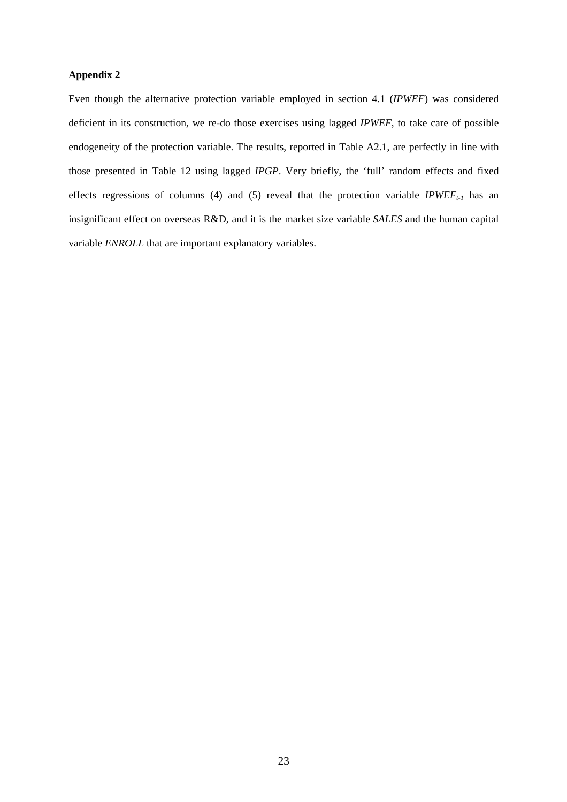## **Appendix 2**

Even though the alternative protection variable employed in section 4.1 (*IPWEF*) was considered deficient in its construction, we re-do those exercises using lagged *IPWEF*, to take care of possible endogeneity of the protection variable. The results, reported in Table A2.1, are perfectly in line with those presented in Table 12 using lagged *IPGP*. Very briefly, the 'full' random effects and fixed effects regressions of columns (4) and (5) reveal that the protection variable  $IPWEF_{t-1}$  has an insignificant effect on overseas R&D, and it is the market size variable *SALES* and the human capital variable *ENROLL* that are important explanatory variables.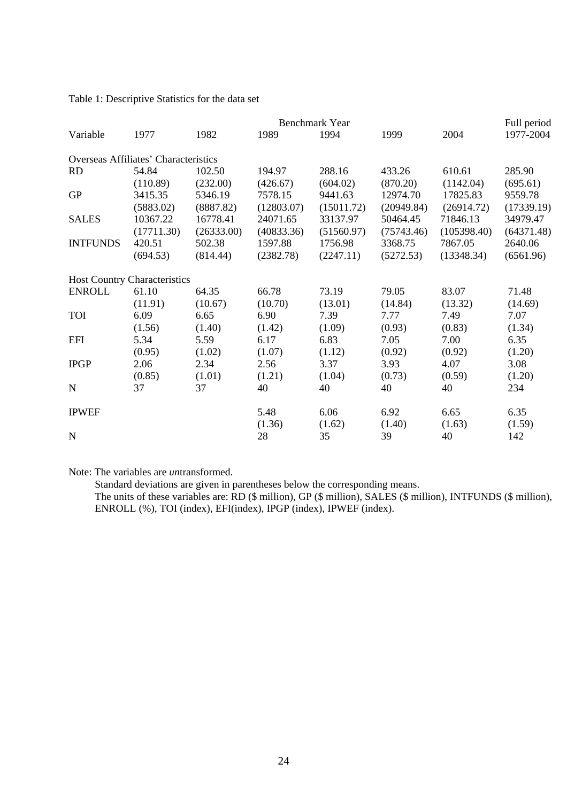Table 1: Descriptive Statistics for the data set

|                 | Benchmark Year<br>Full period        |            |            |              |              |             |            |  |
|-----------------|--------------------------------------|------------|------------|--------------|--------------|-------------|------------|--|
| Variable        | 1977                                 | 1982       | 1989       | 1994         | 1999         | 2004        | 1977-2004  |  |
|                 | Overseas Affiliates' Characteristics |            |            |              |              |             |            |  |
| <b>RD</b>       | 54.84                                | 102.50     | 194.97     | 288.16       | 433.26       | 610.61      | 285.90     |  |
|                 | (110.89)                             | (232.00)   | (426.67)   | (604.02)     | (870.20)     | (1142.04)   | (695.61)   |  |
| <b>GP</b>       | 3415.35                              | 5346.19    | 7578.15    | 9441.63      | 12974.70     | 17825.83    | 9559.78    |  |
|                 | (5883.02)                            | (8887.82)  | (12803.07) | (15011.72)   | (20949.84)   | (26914.72)  | (17339.19) |  |
| <b>SALES</b>    | 10367.22                             | 16778.41   | 24071.65   | 33137.97     | 50464.45     | 71846.13    | 34979.47   |  |
|                 | (17711.30)                           | (26333.00) | (40833.36) | (51560.97)   | (75743.46)   | (105398.40) | (64371.48) |  |
| <b>INTFUNDS</b> | 420.51                               | 502.38     | 1597.88    | 1756.98      | 3368.75      | 7867.05     | 2640.06    |  |
|                 | (694.53)                             | (814.44)   | (2382.78)  | (2247.11)    | (5272.53)    | (13348.34)  | (6561.96)  |  |
|                 | <b>Host Country Characteristics</b>  |            |            |              |              |             |            |  |
| <b>ENROLL</b>   | 61.10                                | 64.35      | 66.78      | 73.19        | 79.05        | 83.07       | 71.48      |  |
|                 | (11.91)                              | (10.67)    | (10.70)    | (13.01)      | (14.84)      | (13.32)     | (14.69)    |  |
| <b>TOI</b>      | 6.09                                 | 6.65       | 6.90       | 7.39         | 7.77         | 7.49        | 7.07       |  |
|                 | (1.56)                               | (1.40)     | (1.42)     | (1.09)       | (0.93)       | (0.83)      | (1.34)     |  |
| <b>EFI</b>      | 5.34                                 | 5.59       | 6.17       | 6.83         | 7.05         | 7.00        | 6.35       |  |
|                 | (0.95)                               | (1.02)     | (1.07)     | (1.12)       | (0.92)       | (0.92)      | (1.20)     |  |
| <b>IPGP</b>     | 2.06                                 | 2.34       | 2.56       | 3.37         | 3.93         | 4.07        | 3.08       |  |
|                 | (0.85)                               | (1.01)     | (1.21)     | (1.04)       | (0.73)       | (0.59)      | (1.20)     |  |
| N               | 37                                   | 37         | 40         | 40           | 40           | 40          | 234        |  |
| <b>IPWEF</b>    |                                      |            | 5.48       | 6.06         | 6.92         | 6.65        | 6.35       |  |
| $\mathbf N$     |                                      |            | (1.36)     | (1.62)<br>35 | (1.40)<br>39 | (1.63)      | (1.59)     |  |
|                 |                                      |            | 28         |              |              | 40          | 142        |  |

Note: The variables are *un*transformed.

 Standard deviations are given in parentheses below the corresponding means. The units of these variables are: RD (\$ million), GP (\$ million), SALES (\$ million), INTFUNDS (\$ million), ENROLL (%), TOI (index), EFI(index), IPGP (index), IPWEF (index).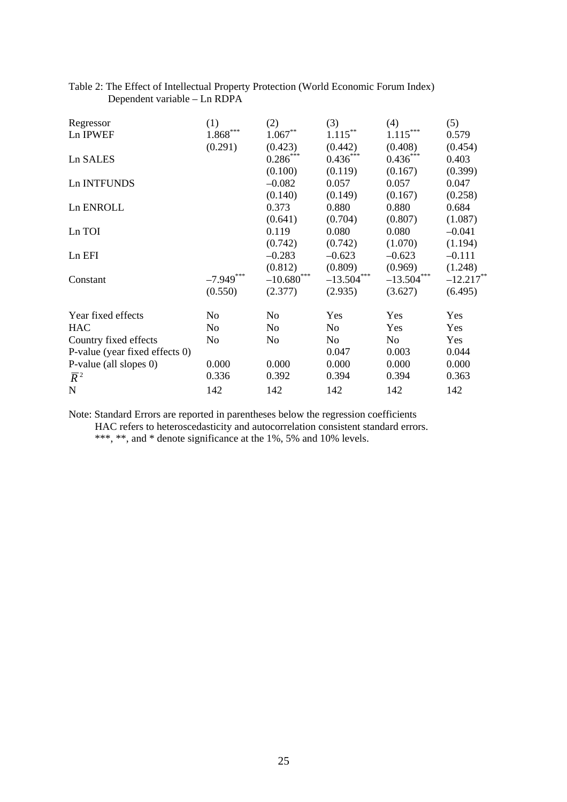| Regressor                      | (1)                          | (2)                       | (3)            | (4)                 | (5)          |
|--------------------------------|------------------------------|---------------------------|----------------|---------------------|--------------|
| Ln IPWEF                       | $\left. 1.868\right. ^{***}$ | $1.067\ensuremath{^{**}}$ | $1.115***$     | $1.115\sp{*}^{***}$ | 0.579        |
|                                | (0.291)                      | (0.423)                   | (0.442)        | (0.408)             | (0.454)      |
| Ln SALES                       |                              | $0.286***$                | $0.436***$     | $0.436***$          | 0.403        |
|                                |                              | (0.100)                   | (0.119)        | (0.167)             | (0.399)      |
| Ln INTFUNDS                    |                              | $-0.082$                  | 0.057          | 0.057               | 0.047        |
|                                |                              | (0.140)                   | (0.149)        | (0.167)             | (0.258)      |
| Ln ENROLL                      |                              | 0.373                     | 0.880          | 0.880               | 0.684        |
|                                |                              | (0.641)                   | (0.704)        | (0.807)             | (1.087)      |
| Ln TOI                         |                              | 0.119                     | 0.080          | 0.080               | $-0.041$     |
|                                |                              | (0.742)                   | (0.742)        | (1.070)             | (1.194)      |
| Ln EFI                         |                              | $-0.283$                  | $-0.623$       | $-0.623$            | $-0.111$     |
|                                |                              | (0.812)                   | (0.809)        | (0.969)             | (1.248)      |
| Constant                       | ***<br>$-7.949$              | ***<br>$-10.680$          | $-13.504***$   | $-13.504***$        | $-12.217$ ** |
|                                | (0.550)                      | (2.377)                   | (2.935)        | (3.627)             | (6.495)      |
| Year fixed effects             | No                           | No                        | Yes            | Yes                 | Yes          |
| <b>HAC</b>                     | No                           | No                        | No             | Yes                 | Yes          |
| Country fixed effects          | No                           | N <sub>o</sub>            | N <sub>o</sub> | No                  | Yes          |
| P-value (year fixed effects 0) |                              |                           | 0.047          | 0.003               | 0.044        |
| P-value (all slopes 0)         | 0.000                        | 0.000                     | 0.000          | 0.000               | 0.000        |
| $\overline{R}^2$               | 0.336                        | 0.392                     | 0.394          | 0.394               | 0.363        |
| $\mathbf N$                    | 142                          | 142                       | 142            | 142                 | 142          |

# Table 2: The Effect of Intellectual Property Protection (World Economic Forum Index) Dependent variable – Ln RDPA

Note: Standard Errors are reported in parentheses below the regression coefficients

HAC refers to heteroscedasticity and autocorrelation consistent standard errors.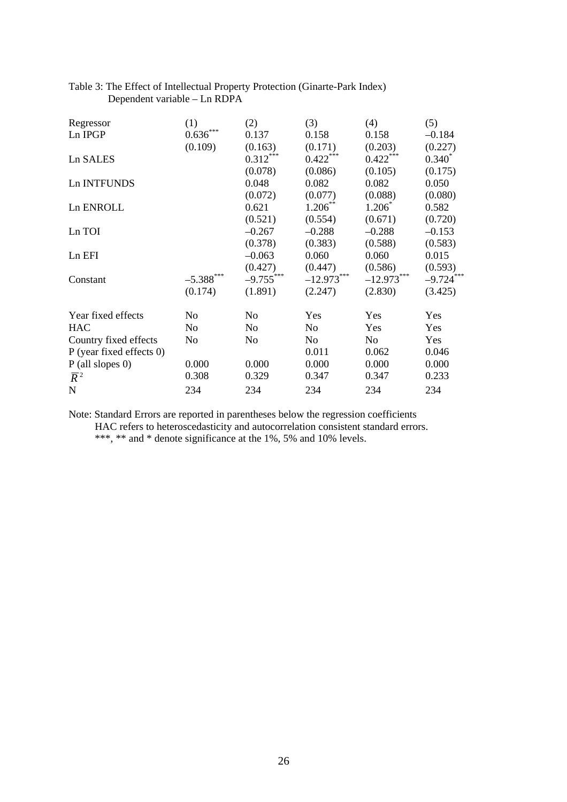| Regressor                | (1)             | (2)         | (3)            | (4)          | (5)             |
|--------------------------|-----------------|-------------|----------------|--------------|-----------------|
| Ln IPGP                  | $0.636^{***}\,$ | 0.137       | 0.158          | 0.158        | $-0.184$        |
|                          | (0.109)         | (0.163)     | (0.171)        | (0.203)      | (0.227)         |
| Ln SALES                 |                 | $0.312***$  | $0.422***$     | $0.422***$   | $0.340^*$       |
|                          |                 | (0.078)     | (0.086)        | (0.105)      | (0.175)         |
| Ln INTFUNDS              |                 | 0.048       | 0.082          | 0.082        | 0.050           |
|                          |                 | (0.072)     | (0.077)        | (0.088)      | (0.080)         |
| Ln ENROLL                |                 | 0.621       | $1.206***$     | $1.206*$     | 0.582           |
|                          |                 | (0.521)     | (0.554)        | (0.671)      | (0.720)         |
| Ln TOI                   |                 | $-0.267$    | $-0.288$       | $-0.288$     | $-0.153$        |
|                          |                 | (0.378)     | (0.383)        | (0.588)      | (0.583)         |
| Ln EFI                   |                 | $-0.063$    | 0.060          | 0.060        | 0.015           |
|                          |                 | (0.427)     | (0.447)        | (0.586)      | (0.593)         |
| Constant                 | $-5.388$ ***    | $-9.755***$ | $-12.973***$   | $-12.973***$ | ***<br>$-9.724$ |
|                          | (0.174)         | (1.891)     | (2.247)        | (2.830)      | (3.425)         |
| Year fixed effects       | No              | No          | Yes            | Yes          | <b>Yes</b>      |
| <b>HAC</b>               | N <sub>o</sub>  | No          | No             | Yes          | Yes             |
| Country fixed effects    | No              | No          | N <sub>o</sub> | No           | Yes             |
| P (year fixed effects 0) |                 |             | 0.011          | 0.062        | 0.046           |
| $P$ (all slopes 0)       | 0.000           | 0.000       | 0.000          | 0.000        | 0.000           |
| $\overline{R}^2$         | 0.308           | 0.329       | 0.347          | 0.347        | 0.233           |
| $\mathbf N$              | 234             | 234         | 234            | 234          | 234             |

# Table 3: The Effect of Intellectual Property Protection (Ginarte-Park Index) Dependent variable – Ln RDPA

Note: Standard Errors are reported in parentheses below the regression coefficients

HAC refers to heteroscedasticity and autocorrelation consistent standard errors.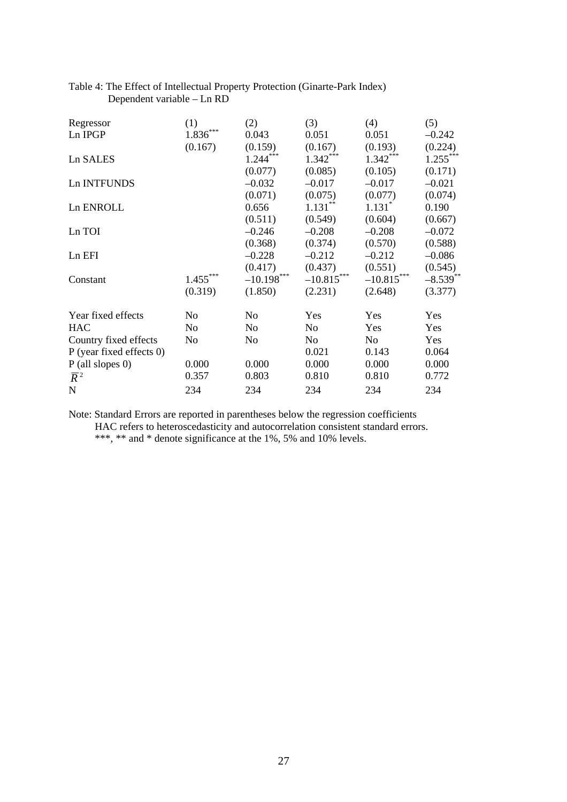| Regressor                | (1)        | (2)            | (3)          | (4)                  | (5)         |
|--------------------------|------------|----------------|--------------|----------------------|-------------|
| Ln IPGP                  | 1.836      | 0.043          | 0.051        | 0.051                | $-0.242$    |
|                          | (0.167)    | (0.159)        | (0.167)      | (0.193)              | (0.224)     |
| Ln SALES                 |            | $1.244***$     | $1.342***$   | $1.342***$           | $1.255***$  |
|                          |            | (0.077)        | (0.085)      | (0.105)              | (0.171)     |
| Ln INTFUNDS              |            | $-0.032$       | $-0.017$     | $-0.017$             | $-0.021$    |
|                          |            | (0.071)        | (0.075)      | (0.077)              | (0.074)     |
| Ln ENROLL                |            | 0.656          | $1.131***$   | $1.131$ <sup>*</sup> | 0.190       |
|                          |            | (0.511)        | (0.549)      | (0.604)              | (0.667)     |
| Ln TOI                   |            | $-0.246$       | $-0.208$     | $-0.208$             | $-0.072$    |
|                          |            | (0.368)        | (0.374)      | (0.570)              | (0.588)     |
| Ln EFI                   |            | $-0.228$       | $-0.212$     | $-0.212$             | $-0.086$    |
|                          |            | (0.417)        | (0.437)      | (0.551)              | (0.545)     |
| Constant                 | $1.455***$ | $-10.198$ ***  | $-10.815***$ | ***<br>$-10.815$     | $-8.539$ ** |
|                          | (0.319)    | (1.850)        | (2.231)      | (2.648)              | (3.377)     |
| Year fixed effects       | No         | N <sub>o</sub> | Yes          | Yes                  | Yes         |
| <b>HAC</b>               | No         | N <sub>o</sub> | No           | Yes                  | <b>Yes</b>  |
| Country fixed effects    | No         | N <sub>o</sub> | No           | N <sub>o</sub>       | Yes         |
| P (year fixed effects 0) |            |                | 0.021        | 0.143                | 0.064       |
| $P$ (all slopes 0)       | 0.000      | 0.000          | 0.000        | 0.000                | 0.000       |
| $\overline{R}^2$         | 0.357      | 0.803          | 0.810        | 0.810                | 0.772       |
| $\mathbf N$              | 234        | 234            | 234          | 234                  | 234         |

# Table 4: The Effect of Intellectual Property Protection (Ginarte-Park Index) Dependent variable – Ln RD

Note: Standard Errors are reported in parentheses below the regression coefficients HAC refers to heteroscedasticity and autocorrelation consistent standard errors.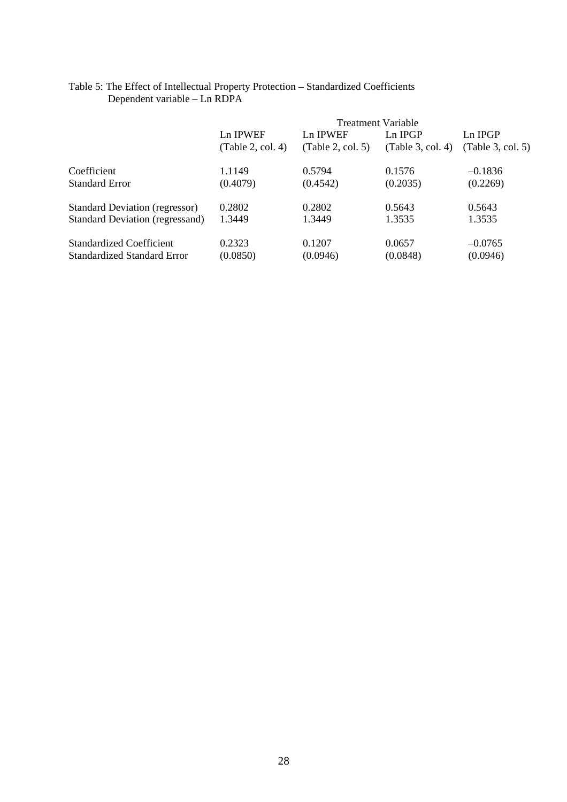|                                        | <b>Treatment Variable</b> |                   |                   |                   |  |  |  |
|----------------------------------------|---------------------------|-------------------|-------------------|-------------------|--|--|--|
|                                        | Ln IPWEF                  | Ln IPWEF          | $Ln$ IPGP         | Ln IPGP           |  |  |  |
|                                        | (Table 2, col. 4)         | (Table 2, col. 5) | (Table 3, col. 4) | (Table 3, col. 5) |  |  |  |
| Coefficient                            | 1.1149                    | 0.5794            | 0.1576            | $-0.1836$         |  |  |  |
| <b>Standard Error</b>                  | (0.4079)                  | (0.4542)          | (0.2035)          | (0.2269)          |  |  |  |
| <b>Standard Deviation (regressor)</b>  | 0.2802                    | 0.2802            | 0.5643            | 0.5643            |  |  |  |
| <b>Standard Deviation (regressand)</b> | 1.3449                    | 1.3449            | 1.3535            | 1.3535            |  |  |  |
| <b>Standardized Coefficient</b>        | 0.2323                    | 0.1207            | 0.0657            | $-0.0765$         |  |  |  |
| <b>Standardized Standard Error</b>     | (0.0850)                  | (0.0946)          | (0.0848)          | (0.0946)          |  |  |  |

## Table 5: The Effect of Intellectual Property Protection – Standardized Coefficients Dependent variable – Ln RDPA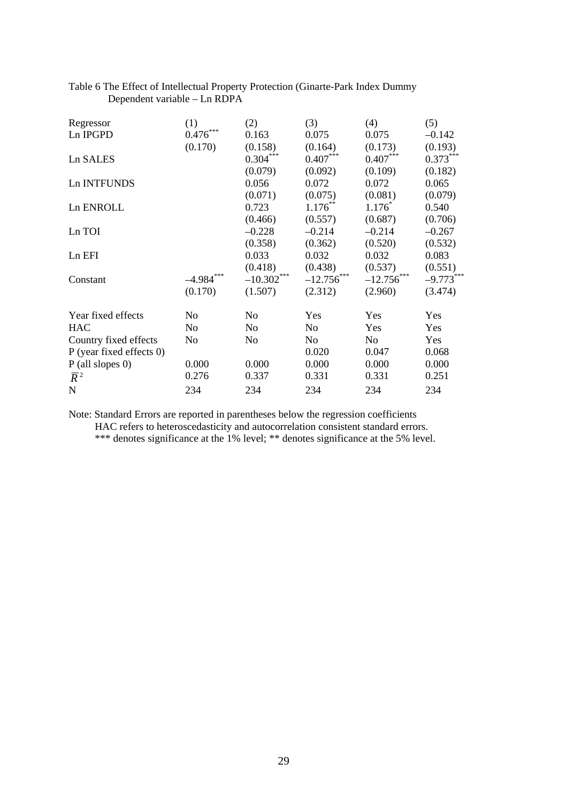| Regressor                | (1)          | (2)              | (3)          | (4)           | (5)         |
|--------------------------|--------------|------------------|--------------|---------------|-------------|
| Ln IPGPD                 | ***<br>0.476 | 0.163            | 0.075        | 0.075         | $-0.142$    |
|                          | (0.170)      | (0.158)          | (0.164)      | (0.173)       | (0.193)     |
| Ln SALES                 |              | $0.304***$       | $0.407***$   | $0.407***$    | $0.373***$  |
|                          |              | (0.079)          | (0.092)      | (0.109)       | (0.182)     |
| Ln INTFUNDS              |              | 0.056            | 0.072        | 0.072         | 0.065       |
|                          |              | (0.071)          | (0.075)      | (0.081)       | (0.079)     |
| Ln ENROLL                |              | 0.723            | $1.176***$   | $1.176*$      | 0.540       |
|                          |              | (0.466)          | (0.557)      | (0.687)       | (0.706)     |
| Ln TOI                   |              | $-0.228$         | $-0.214$     | $-0.214$      | $-0.267$    |
|                          |              | (0.358)          | (0.362)      | (0.520)       | (0.532)     |
| Ln EFI                   |              | 0.033            | 0.032        | 0.032         | 0.083       |
|                          |              | (0.418)          | (0.438)      | (0.537)       | (0.551)     |
| Constant                 | $-4.984***$  | ***<br>$-10.302$ | $-12.756***$ | $-12.756$ *** | $-9.773***$ |
|                          | (0.170)      | (1.507)          | (2.312)      | (2.960)       | (3.474)     |
| Year fixed effects       | No           | No               | Yes          | Yes           | Yes         |
| <b>HAC</b>               | No           | No.              | No           | Yes           | Yes         |
| Country fixed effects    | No           | No.              | No           | No            | Yes         |
| P (year fixed effects 0) |              |                  | 0.020        | 0.047         | 0.068       |
| $P$ (all slopes 0)       | 0.000        | 0.000            | 0.000        | 0.000         | 0.000       |
| $\overline{R}^2$         | 0.276        | 0.337            | 0.331        | 0.331         | 0.251       |
| $\mathbf N$              | 234          | 234              | 234          | 234           | 234         |

# Table 6 The Effect of Intellectual Property Protection (Ginarte-Park Index Dummy Dependent variable – Ln RDPA

Note: Standard Errors are reported in parentheses below the regression coefficients

HAC refers to heteroscedasticity and autocorrelation consistent standard errors.

\*\*\* denotes significance at the 1% level; \*\* denotes significance at the 5% level.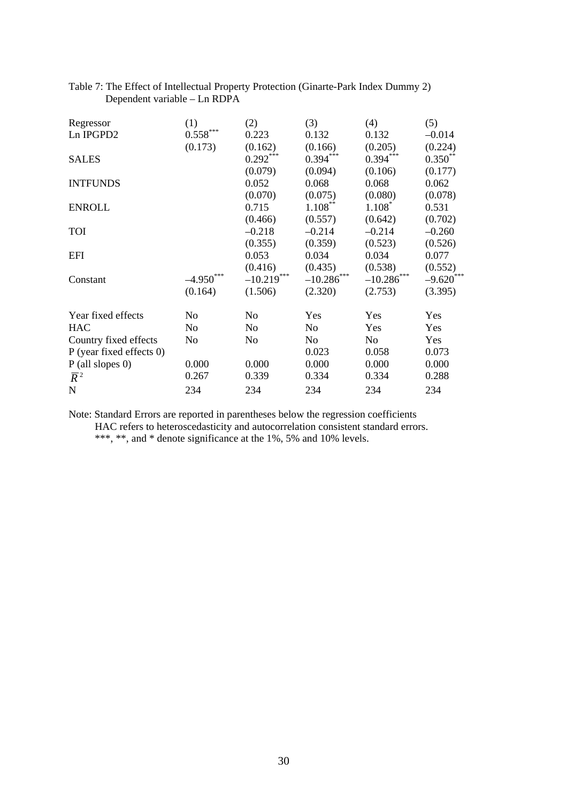| Regressor                | (1)                    | (2)                           | (3)           | (4)           | (5)             |
|--------------------------|------------------------|-------------------------------|---------------|---------------|-----------------|
| Ln IPGPD2                | $0.558^{\ast\ast\ast}$ | 0.223                         | 0.132         | 0.132         | $-0.014$        |
|                          | (0.173)                | (0.162)                       | (0.166)       | (0.205)       | (0.224)         |
| <b>SALES</b>             |                        | $0.292***$                    | $0.394***$    | $0.394***$    | $0.350**$       |
|                          |                        | (0.079)                       | (0.094)       | (0.106)       | (0.177)         |
| <b>INTFUNDS</b>          |                        | 0.052                         | 0.068         | 0.068         | 0.062           |
|                          |                        | (0.070)                       | (0.075)       | (0.080)       | (0.078)         |
| <b>ENROLL</b>            |                        | 0.715                         | $1.108***$    | $1.108*$      | 0.531           |
|                          |                        | (0.466)                       | (0.557)       | (0.642)       | (0.702)         |
| <b>TOI</b>               |                        | $-0.218$                      | $-0.214$      | $-0.214$      | $-0.260$        |
|                          |                        | (0.355)                       | (0.359)       | (0.523)       | (0.526)         |
| <b>EFI</b>               |                        | 0.053                         | 0.034         | 0.034         | 0.077           |
|                          |                        | (0.416)                       | (0.435)       | (0.538)       | (0.552)         |
| Constant                 | ***<br>$-4.950$        | ***<br>$-10.219$ <sup>*</sup> | $-10.286$ *** | $-10.286$ *** | ***<br>$-9.620$ |
|                          | (0.164)                | (1.506)                       | (2.320)       | (2.753)       | (3.395)         |
| Year fixed effects       | No                     | No                            | Yes           | Yes           | Yes             |
| <b>HAC</b>               | No                     | No                            | No            | Yes           | Yes             |
| Country fixed effects    | No                     | No                            | No            | No            | Yes             |
| P (year fixed effects 0) |                        |                               | 0.023         | 0.058         | 0.073           |
| $P$ (all slopes 0)       | 0.000                  | 0.000                         | 0.000         | 0.000         | 0.000           |
| $\overline{R}^2$         | 0.267                  | 0.339                         | 0.334         | 0.334         | 0.288           |
| N                        | 234                    | 234                           | 234           | 234           | 234             |

## Table 7: The Effect of Intellectual Property Protection (Ginarte-Park Index Dummy 2) Dependent variable – Ln RDPA

Note: Standard Errors are reported in parentheses below the regression coefficients

HAC refers to heteroscedasticity and autocorrelation consistent standard errors.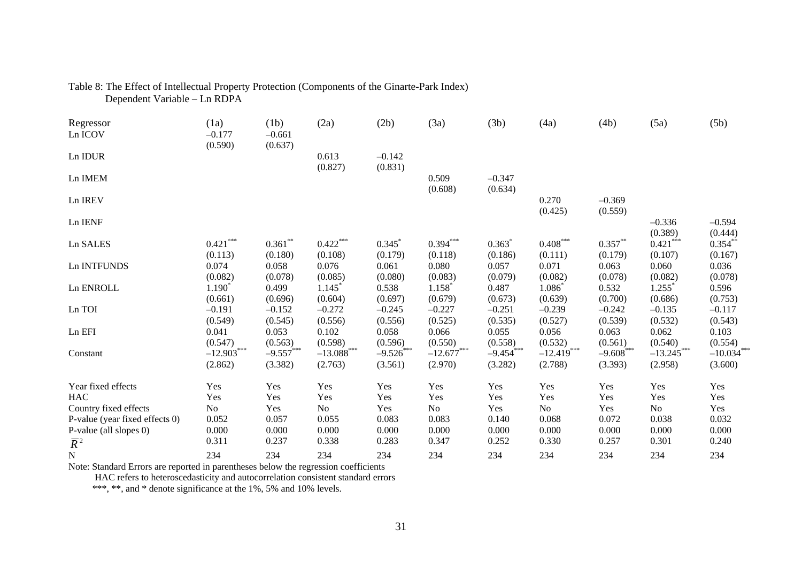| Regressor<br>Ln ICOV           | (1a)<br>$-0.177$        | (1b)<br>$-0.661$       | (2a)                     | (2b)                   | (3a)                            | (3b)                   | (4a)                    | (4b)                   | (5a)                            | (5b)                    |
|--------------------------------|-------------------------|------------------------|--------------------------|------------------------|---------------------------------|------------------------|-------------------------|------------------------|---------------------------------|-------------------------|
| Ln IDUR                        | (0.590)                 | (0.637)                | 0.613<br>(0.827)         | $-0.142$<br>(0.831)    |                                 |                        |                         |                        |                                 |                         |
| Ln IMEM                        |                         |                        |                          |                        | 0.509<br>(0.608)                | $-0.347$<br>(0.634)    |                         |                        |                                 |                         |
| Ln IREV                        |                         |                        |                          |                        |                                 |                        | 0.270<br>(0.425)        | $-0.369$<br>(0.559)    |                                 |                         |
| Ln IENF                        |                         |                        |                          |                        |                                 |                        |                         |                        | $-0.336$<br>(0.389)             | $-0.594$<br>(0.444)     |
| Ln SALES                       | $0.421***$<br>(0.113)   | $0.361**$<br>(0.180)   | $0.422***$<br>(0.108)    | 0.345<br>(0.179)       | $0.394***$<br>(0.118)           | 0.363<br>(0.186)       | $0.408***$<br>(0.111)   | $0.357**$<br>(0.179)   | $0.421$ ***<br>(0.107)          | $0.354$ *<br>(0.167)    |
| Ln INTFUNDS                    | 0.074<br>(0.082)        | 0.058<br>(0.078)       | 0.076<br>(0.085)         | 0.061<br>(0.080)       | 0.080<br>(0.083)                | 0.057<br>(0.079)       | 0.071<br>(0.082)        | 0.063<br>(0.078)       | 0.060<br>(0.082)                | 0.036<br>(0.078)        |
| Ln ENROLL                      | $1.190*$<br>(0.661)     | 0.499<br>(0.696)       | 1.145<br>(0.604)         | 0.538<br>(0.697)       | $1.158$ <sup>*</sup><br>(0.679) | 0.487<br>(0.673)       | 1.086<br>(0.639)        | 0.532<br>(0.700)       | $1.255$ <sup>*</sup><br>(0.686) | 0.596<br>(0.753)        |
| Ln TOI                         | $-0.191$<br>(0.549)     | $-0.152$<br>(0.545)    | $-0.272$<br>(0.556)      | $-0.245$<br>(0.556)    | $-0.227$<br>(0.525)             | $-0.251$<br>(0.535)    | $-0.239$<br>(0.527)     | $-0.242$<br>(0.539)    | $-0.135$<br>(0.532)             | $-0.117$<br>(0.543)     |
| Ln EFI                         | 0.041<br>(0.547)        | 0.053<br>(0.563)       | 0.102<br>(0.598)         | 0.058<br>(0.596)       | 0.066<br>(0.550)                | 0.055<br>(0.558)       | 0.056<br>(0.532)        | 0.063<br>(0.561)       | 0.062<br>(0.540)                | 0.103<br>(0.554)        |
| Constant                       | $-12.903***$<br>(2.862) | $-9.557***$<br>(3.382) | $-13.088$ ***<br>(2.763) | $-9.526***$<br>(3.561) | $-12.677***$<br>(2.970)         | $-9.454***$<br>(3.282) | $-12.419***$<br>(2.788) | $-9.608***$<br>(3.393) | $-13.245***$<br>(2.958)         | $-10.034***$<br>(3.600) |
| Year fixed effects             | Yes                     | Yes                    | Yes                      | Yes                    | Yes                             | Yes                    | Yes                     | Yes                    | Yes                             | Yes                     |
| <b>HAC</b>                     | Yes                     | Yes                    | Yes                      | Yes                    | Yes                             | Yes                    | Yes                     | Yes                    | Yes                             | Yes                     |
| Country fixed effects          | N <sub>o</sub>          | Yes                    | N <sub>o</sub>           | Yes                    | No                              | Yes                    | N <sub>o</sub>          | Yes                    | N <sub>o</sub>                  | Yes                     |
| P-value (year fixed effects 0) | 0.052                   | 0.057                  | 0.055                    | 0.083                  | 0.083                           | 0.140                  | 0.068                   | 0.072                  | 0.038                           | 0.032                   |
| P-value (all slopes 0)         | 0.000                   | 0.000<br>0.237         | 0.000                    | 0.000                  | 0.000                           | 0.000                  | 0.000                   | 0.000                  | 0.000                           | 0.000                   |
| $\overline{R}^2$               | 0.311                   |                        | 0.338                    | 0.283                  | 0.347                           | 0.252                  | 0.330                   | 0.257                  | 0.301                           | 0.240                   |
| ${\bf N}$                      | 234                     | 234                    | 234                      | 234                    | 234                             | 234                    | 234                     | 234                    | 234                             | 234                     |

## Table 8: The Effect of Intellectual Property Protection (Components of the Ginarte-Park Index) Dependent Variable – Ln RDPA

Note: Standard Errors are reported in parentheses below the regression coefficients

HAC refers to heteroscedasticity and autocorrelation consistent standard errors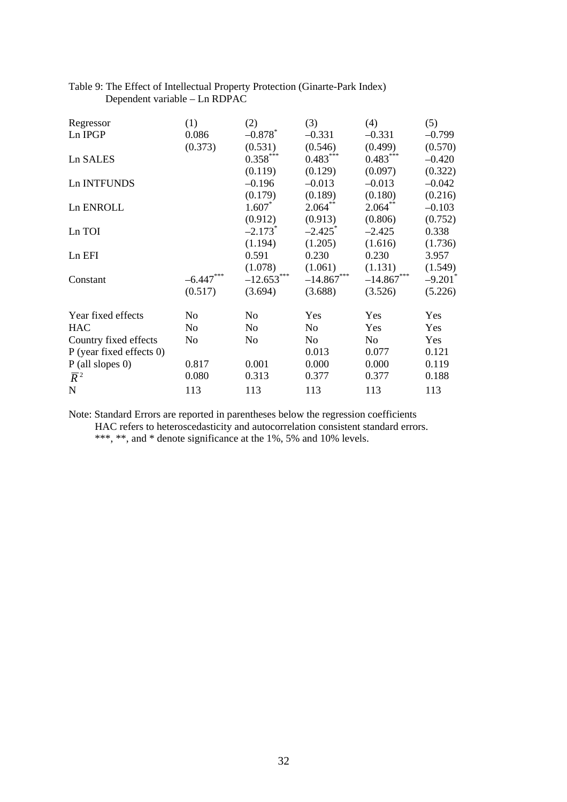| Regressor                | (1)         | (2)                   | (3)          | (4)              | (5)                   |
|--------------------------|-------------|-----------------------|--------------|------------------|-----------------------|
| Ln IPGP                  | 0.086       | $-0.878$ <sup>*</sup> | $-0.331$     | $-0.331$         | $-0.799$              |
|                          | (0.373)     | (0.531)               | (0.546)      | (0.499)          | (0.570)               |
| Ln SALES                 |             | $0.358***$            | $0.483***$   | $0.483***$       | $-0.420$              |
|                          |             | (0.119)               | (0.129)      | (0.097)          | (0.322)               |
| Ln INTFUNDS              |             | $-0.196$              | $-0.013$     | $-0.013$         | $-0.042$              |
|                          |             | (0.179)               | (0.189)      | (0.180)          | (0.216)               |
| Ln ENROLL                |             | $1.607^*$             | $2.064$ **   | $2.064**$        | $-0.103$              |
|                          |             | (0.912)               | (0.913)      | (0.806)          | (0.752)               |
| Ln TOI                   |             | $-2.173$ <sup>*</sup> | $-2.425$     | $-2.425$         | 0.338                 |
|                          |             | (1.194)               | (1.205)      | (1.616)          | (1.736)               |
| Ln EFI                   |             | 0.591                 | 0.230        | 0.230            | 3.957                 |
|                          |             | (1.078)               | (1.061)      | (1.131)          | (1.549)               |
| Constant                 | $-6.447***$ | $-12.653***$          | $-14.867***$ | ***<br>$-14.867$ | $-9.201$ <sup>*</sup> |
|                          | (0.517)     | (3.694)               | (3.688)      | (3.526)          | (5.226)               |
| Year fixed effects       | No          | No                    | Yes          | Yes              | Yes                   |
| <b>HAC</b>               | No          | No                    | No           | Yes              | <b>Yes</b>            |
| Country fixed effects    | No          | No                    | No           | No               | Yes                   |
| P (year fixed effects 0) |             |                       | 0.013        | 0.077            | 0.121                 |
| $P$ (all slopes 0)       | 0.817       | 0.001                 | 0.000        | 0.000            | 0.119                 |
| $\overline{R}^2$         | 0.080       | 0.313                 | 0.377        | 0.377            | 0.188                 |
| $\mathbf N$              | 113         | 113                   | 113          | 113              | 113                   |

# Table 9: The Effect of Intellectual Property Protection (Ginarte-Park Index) Dependent variable – Ln RDPAC

Note: Standard Errors are reported in parentheses below the regression coefficients HAC refers to heteroscedasticity and autocorrelation consistent standard errors.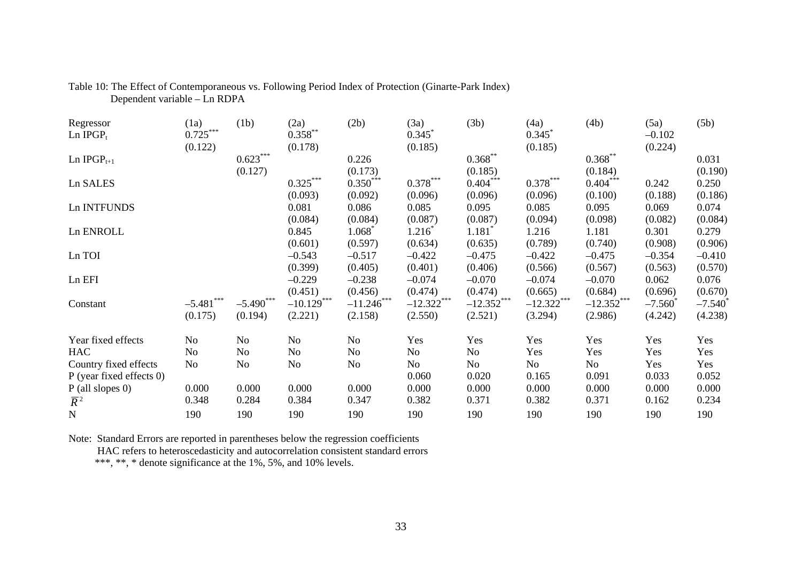| Regressor<br>Ln $IPGP_t$   | (1a)<br>$0.725***$ | (1b)         | (2a)<br>$0.358^{**}$ | (2b)          | (3a)<br>0.345     | (3b)         | (4a)<br>0.345 | (4b)         | (5a)<br>$-0.102$ | (5b)               |
|----------------------------|--------------------|--------------|----------------------|---------------|-------------------|--------------|---------------|--------------|------------------|--------------------|
|                            | (0.122)            |              | (0.178)              |               | (0.185)           |              | (0.185)       |              | (0.224)          |                    |
| $Ln$ IPGP $_{t+1}$         |                    | $0.623***$   |                      | 0.226         |                   | $0.368***$   |               | $0.368***$   |                  | 0.031              |
|                            |                    | (0.127)      |                      | (0.173)       |                   | (0.185)      |               | (0.184)      |                  | (0.190)            |
| Ln SALES                   |                    |              | $0.325***$           | $0.350^{***}$ | $0.378$ ***       | $0.404***$   | $0.378***$    | $0.404***$   | 0.242            | 0.250              |
|                            |                    |              | (0.093)              | (0.092)       | (0.096)           | (0.096)      | (0.096)       | (0.100)      | (0.188)          | (0.186)            |
| Ln INTFUNDS                |                    |              | 0.081                | 0.086         | 0.085             | 0.095        | 0.085         | 0.095        | 0.069            | 0.074              |
|                            |                    |              | (0.084)              | (0.084)       | (0.087)           | (0.087)      | (0.094)       | (0.098)      | (0.082)          | (0.084)            |
| Ln ENROLL                  |                    |              | 0.845                | 1.068         | $1.216^{\degree}$ | 1.181        | 1.216         | 1.181        | 0.301            | 0.279              |
|                            |                    |              | (0.601)              | (0.597)       | (0.634)           | (0.635)      | (0.789)       | (0.740)      | (0.908)          | (0.906)            |
| Ln TOI                     |                    |              | $-0.543$             | $-0.517$      | $-0.422$          | $-0.475$     | $-0.422$      | $-0.475$     | $-0.354$         | $-0.410$           |
|                            |                    |              | (0.399)              | (0.405)       | (0.401)           | (0.406)      | (0.566)       | (0.567)      | (0.563)          | (0.570)            |
| Ln EFI                     |                    |              | $-0.229$             | $-0.238$      | $-0.074$          | $-0.070$     | $-0.074$      | $-0.070$     | 0.062            | 0.076              |
|                            |                    |              | (0.451)              | (0.456)       | (0.474)           | (0.474)      | (0.665)       | (0.684)      | (0.696)          | (0.670)            |
| Constant                   | $-5.481$ ***       | $-5.490$ *** | $-10.129***$         | $-11.246$ *** | $-12.322***$      | $-12.352***$ | $-12.322***$  | $-12.352***$ | $-7.560^*$       | $-7.540^{\degree}$ |
|                            | (0.175)            | (0.194)      | (2.221)              | (2.158)       | (2.550)           | (2.521)      | (3.294)       | (2.986)      | (4.242)          | (4.238)            |
| Year fixed effects         | No                 | No           | No                   | No            | Yes               | Yes          | Yes           | Yes          | Yes              | Yes                |
| <b>HAC</b>                 | No                 | No           | No                   | No            | No                | No           | Yes           | Yes          | Yes              | Yes                |
| Country fixed effects      | No                 | No           | No                   | No            | No                | No           | No            | No           | Yes              | Yes                |
| $P$ (year fixed effects 0) |                    |              |                      |               | 0.060             | 0.020        | 0.165         | 0.091        | 0.033            | 0.052              |
| $P$ (all slopes 0)         | 0.000              | 0.000        | 0.000                | 0.000         | 0.000             | 0.000        | 0.000         | 0.000        | 0.000            | 0.000              |
| $\overline{R}^2$           | 0.348              | 0.284        | 0.384                | 0.347         | 0.382             | 0.371        | 0.382         | 0.371        | 0.162            | 0.234              |
| ${\bf N}$                  | 190                | 190          | 190                  | 190           | 190               | 190          | 190           | 190          | 190              | 190                |

## Table 10: The Effect of Contemporaneous vs. Following Period Index of Protection (Ginarte-Park Index) Dependent variable – Ln RDPA

Note: Standard Errors are reported in parentheses below the regression coefficients HAC refers to heteroscedasticity and autocorrelation consistent standard errors \*\*\*, \*\*, \* denote significance at the 1%, 5%, and 10% levels.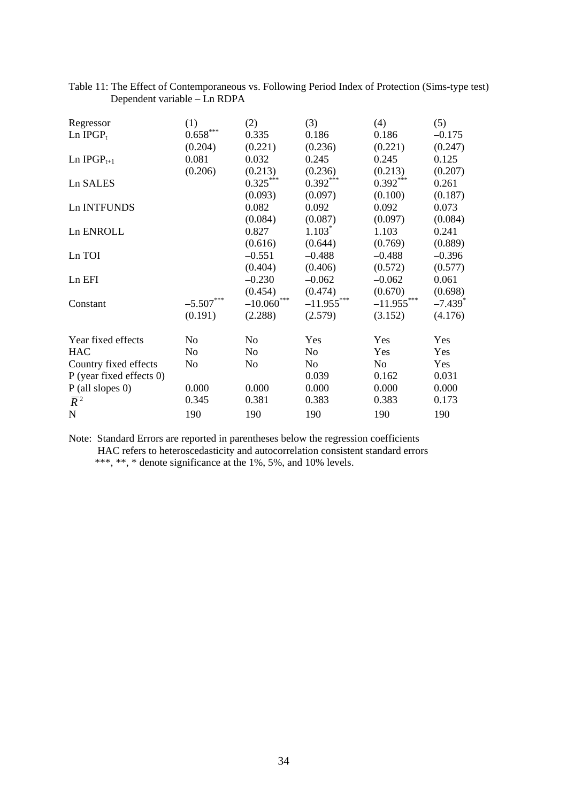| Regressor                | (1)                    | (2)               | (3)            | (4)            | (5)                   |
|--------------------------|------------------------|-------------------|----------------|----------------|-----------------------|
| Ln $IPGP_t$              | $0.658^{\ast\ast\ast}$ | 0.335             | 0.186          | 0.186          | $-0.175$              |
|                          | (0.204)                | (0.221)           | (0.236)        | (0.221)        | (0.247)               |
| Ln $IPGP_{t+1}$          | 0.081                  | 0.032             | 0.245          | 0.245          | 0.125                 |
|                          | (0.206)                | (0.213)           | (0.236)        | (0.213)        | (0.207)               |
| Ln SALES                 |                        | $0.325***$        | $0.392***$     | $0.392***$     | 0.261                 |
|                          |                        | (0.093)           | (0.097)        | (0.100)        | (0.187)               |
| Ln INTFUNDS              |                        | 0.082             | 0.092          | 0.092          | 0.073                 |
|                          |                        | (0.084)           | (0.087)        | (0.097)        | (0.084)               |
| Ln ENROLL                |                        | 0.827             | $1.103*$       | 1.103          | 0.241                 |
|                          |                        | (0.616)           | (0.644)        | (0.769)        | (0.889)               |
| Ln TOI                   |                        | $-0.551$          | $-0.488$       | $-0.488$       | $-0.396$              |
|                          |                        | (0.404)           | (0.406)        | (0.572)        | (0.577)               |
| Ln EFI                   |                        | $-0.230$          | $-0.062$       | $-0.062$       | 0.061                 |
|                          |                        | (0.454)           | (0.474)        | (0.670)        | (0.698)               |
| Constant                 | $-5.507***$            | $-10.060^{***}\,$ | $-11.955***$   | $-11.955***$   | $-7.439$ <sup>*</sup> |
|                          | (0.191)                | (2.288)           | (2.579)        | (3.152)        | (4.176)               |
| Year fixed effects       | No                     | N <sub>o</sub>    | Yes            | Yes            | Yes                   |
| <b>HAC</b>               | N <sub>o</sub>         | N <sub>o</sub>    | N <sub>o</sub> | Yes            | Yes                   |
| Country fixed effects    | No                     | N <sub>0</sub>    | No             | N <sub>o</sub> | Yes                   |
| P (year fixed effects 0) |                        |                   | 0.039          | 0.162          | 0.031                 |
| $P$ (all slopes 0)       | 0.000                  | 0.000             | 0.000          | 0.000          | 0.000                 |
| $\overline{R}^2$         | 0.345                  | 0.381             | 0.383          | 0.383          | 0.173                 |
| N                        | 190                    | 190               | 190            | 190            | 190                   |

## Table 11: The Effect of Contemporaneous vs. Following Period Index of Protection (Sims-type test) Dependent variable – Ln RDPA

Note: Standard Errors are reported in parentheses below the regression coefficients HAC refers to heteroscedasticity and autocorrelation consistent standard errors \*\*\*, \*\*, \* denote significance at the 1%, 5%, and 10% levels.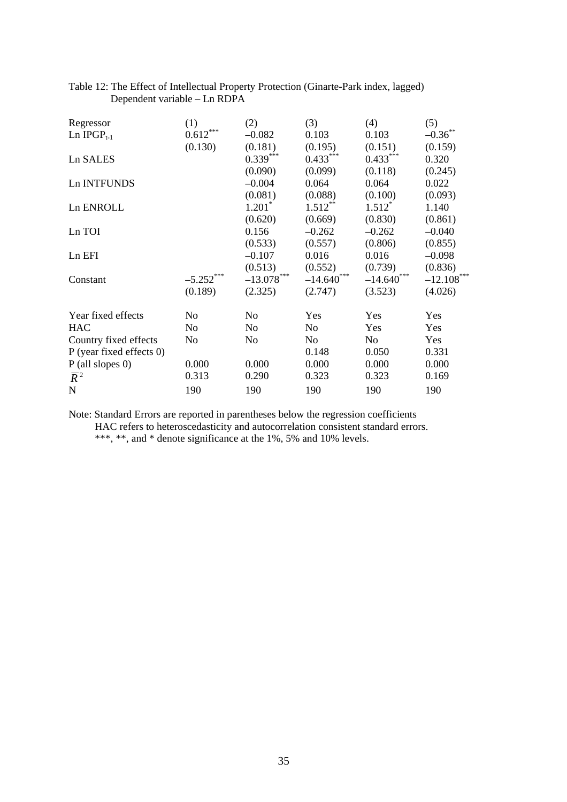| Regressor                  | (1)            | (2)            | (3)              | (4)              | (5)          |
|----------------------------|----------------|----------------|------------------|------------------|--------------|
| Ln $IPGP_{t-1}$            | $0.612***$     | $-0.082$       | 0.103            | 0.103            | $-0.36$ **   |
|                            | (0.130)        | (0.181)        | (0.195)          | (0.151)          | (0.159)      |
| Ln SALES                   |                | $0.339***$     | $0.433***$       | $0.433***$       | 0.320        |
|                            |                | (0.090)        | (0.099)          | (0.118)          | (0.245)      |
| Ln INTFUNDS                |                | $-0.004$       | 0.064            | 0.064            | 0.022        |
|                            |                | (0.081)        | (0.088)          | (0.100)          | (0.093)      |
| Ln ENROLL                  |                | $1.201^*$      | $1.512***$       | $1.512^*$        | 1.140        |
|                            |                | (0.620)        | (0.669)          | (0.830)          | (0.861)      |
| Ln TOI                     |                | 0.156          | $-0.262$         | $-0.262$         | $-0.040$     |
|                            |                | (0.533)        | (0.557)          | (0.806)          | (0.855)      |
| Ln EFI                     |                | $-0.107$       | 0.016            | 0.016            | $-0.098$     |
|                            |                | (0.513)        | (0.552)          | (0.739)          | (0.836)      |
| Constant                   | $-5.252$ ***   | $-13.078$ ***  | ***<br>$-14.640$ | ***<br>$-14.640$ | $-12.108***$ |
|                            | (0.189)        | (2.325)        | (2.747)          | (3.523)          | (4.026)      |
| Year fixed effects         | N <sub>0</sub> | No             | Yes              | Yes              | Yes          |
| <b>HAC</b>                 | No             | N <sub>0</sub> | N <sub>0</sub>   | Yes              | Yes          |
| Country fixed effects      | N <sub>o</sub> | No             | No               | No               | Yes          |
| $P$ (year fixed effects 0) |                |                | 0.148            | 0.050            | 0.331        |
| $P$ (all slopes 0)         | 0.000          | 0.000          | 0.000            | 0.000            | 0.000        |
| $\overline{R}^2$           | 0.313          | 0.290          | 0.323            | 0.323            | 0.169        |
| $\mathbf N$                | 190            | 190            | 190              | 190              | 190          |

# Table 12: The Effect of Intellectual Property Protection (Ginarte-Park index, lagged) Dependent variable – Ln RDPA

Note: Standard Errors are reported in parentheses below the regression coefficients HAC refers to heteroscedasticity and autocorrelation consistent standard errors.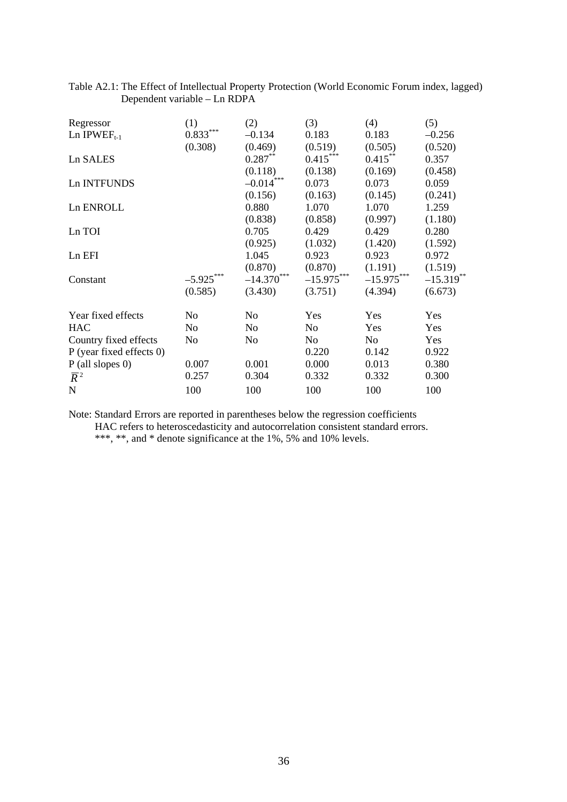| Regressor                | (1)            | (2)              | (3)          | (4)          | (5)          |
|--------------------------|----------------|------------------|--------------|--------------|--------------|
| Ln IPWEF <sub>t-1</sub>  | $0.833***$     | $-0.134$         | 0.183        | 0.183        | $-0.256$     |
|                          | (0.308)        | (0.469)          | (0.519)      | (0.505)      | (0.520)      |
| Ln SALES                 |                | $0.287***$       | $0.415***$   | $0.415***$   | 0.357        |
|                          |                | (0.118)          | (0.138)      | (0.169)      | (0.458)      |
| Ln INTFUNDS              |                | $-0.014***$      | 0.073        | 0.073        | 0.059        |
|                          |                | (0.156)          | (0.163)      | (0.145)      | (0.241)      |
| Ln ENROLL                |                | 0.880            | 1.070        | 1.070        | 1.259        |
|                          |                | (0.838)          | (0.858)      | (0.997)      | (1.180)      |
| Ln TOI                   |                | 0.705            | 0.429        | 0.429        | 0.280        |
|                          |                | (0.925)          | (1.032)      | (1.420)      | (1.592)      |
| Ln EFI                   |                | 1.045            | 0.923        | 0.923        | 0.972        |
|                          |                | (0.870)          | (0.870)      | (1.191)      | (1.519)      |
| Constant                 | $-5.925***$    | ***<br>$-14.370$ | $-15.975***$ | $-15.975***$ | $-15.319***$ |
|                          | (0.585)        | (3.430)          | (3.751)      | (4.394)      | (6.673)      |
| Year fixed effects       | N <sub>o</sub> | No               | Yes          | Yes          | Yes          |
| <b>HAC</b>               | No             | No               | No           | Yes          | <b>Yes</b>   |
| Country fixed effects    | N <sub>o</sub> | N <sub>0</sub>   | No           | No           | Yes          |
| P (year fixed effects 0) |                |                  | 0.220        | 0.142        | 0.922        |
| $P$ (all slopes 0)       | 0.007          | 0.001            | 0.000        | 0.013        | 0.380        |
| $\overline{R}^2$         | 0.257          | 0.304            | 0.332        | 0.332        | 0.300        |
| $\mathbf N$              | 100            | 100              | 100          | 100          | 100          |

# Table A2.1: The Effect of Intellectual Property Protection (World Economic Forum index, lagged) Dependent variable – Ln RDPA

Note: Standard Errors are reported in parentheses below the regression coefficients HAC refers to heteroscedasticity and autocorrelation consistent standard errors.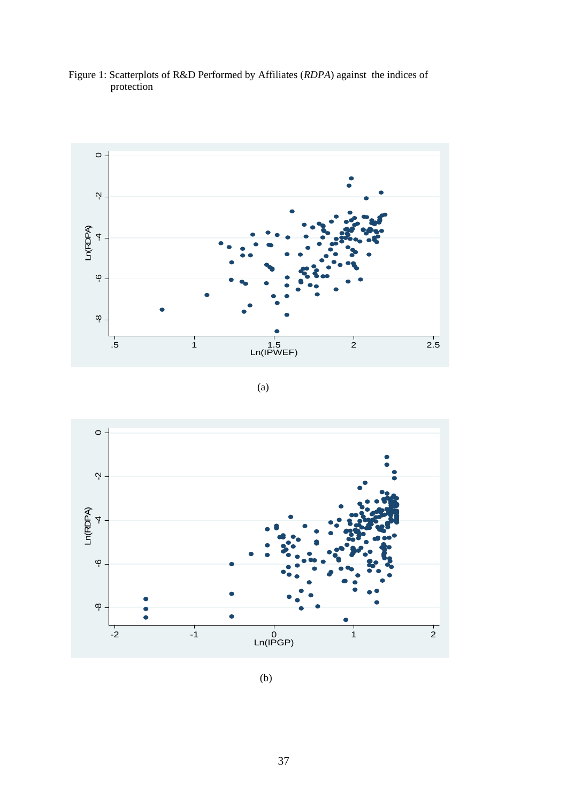

Figure 1: Scatterplots of R&D Performed by Affiliates (*RDPA*) against the indices of protection

(a)



(b)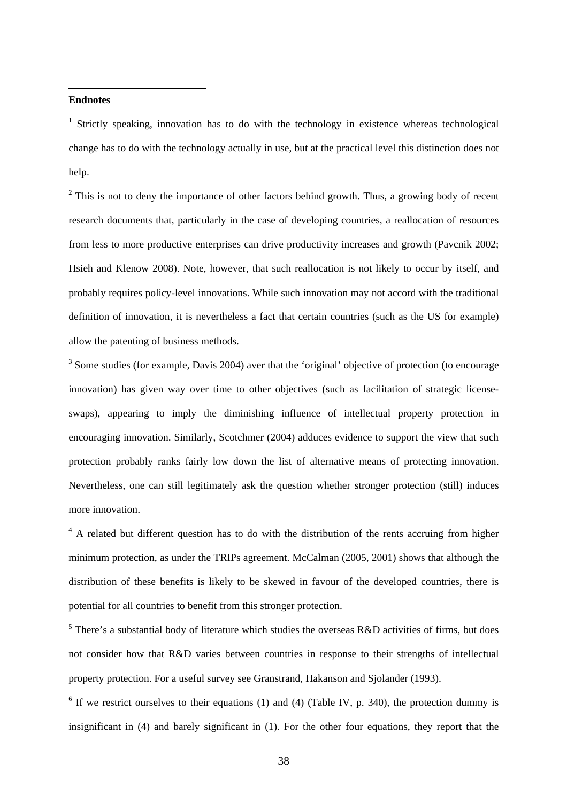## **Endnotes**

 $\overline{a}$ 

<sup>1</sup> Strictly speaking, innovation has to do with the technology in existence whereas technological change has to do with the technology actually in use, but at the practical level this distinction does not help.

 $2^2$  This is not to deny the importance of other factors behind growth. Thus, a growing body of recent research documents that, particularly in the case of developing countries, a reallocation of resources from less to more productive enterprises can drive productivity increases and growth (Pavcnik 2002; Hsieh and Klenow 2008). Note, however, that such reallocation is not likely to occur by itself, and probably requires policy-level innovations. While such innovation may not accord with the traditional definition of innovation, it is nevertheless a fact that certain countries (such as the US for example) allow the patenting of business methods.

 $3$  Some studies (for example, Davis 2004) aver that the 'original' objective of protection (to encourage innovation) has given way over time to other objectives (such as facilitation of strategic licenseswaps), appearing to imply the diminishing influence of intellectual property protection in encouraging innovation. Similarly, Scotchmer (2004) adduces evidence to support the view that such protection probably ranks fairly low down the list of alternative means of protecting innovation. Nevertheless, one can still legitimately ask the question whether stronger protection (still) induces more innovation.

<sup>4</sup> A related but different question has to do with the distribution of the rents accruing from higher minimum protection, as under the TRIPs agreement. McCalman (2005, 2001) shows that although the distribution of these benefits is likely to be skewed in favour of the developed countries, there is potential for all countries to benefit from this stronger protection.

<sup>5</sup> There's a substantial body of literature which studies the overseas R&D activities of firms, but does not consider how that R&D varies between countries in response to their strengths of intellectual property protection. For a useful survey see Granstrand, Hakanson and Sjolander (1993).

 $6$  If we restrict ourselves to their equations (1) and (4) (Table IV, p. 340), the protection dummy is insignificant in (4) and barely significant in (1). For the other four equations, they report that the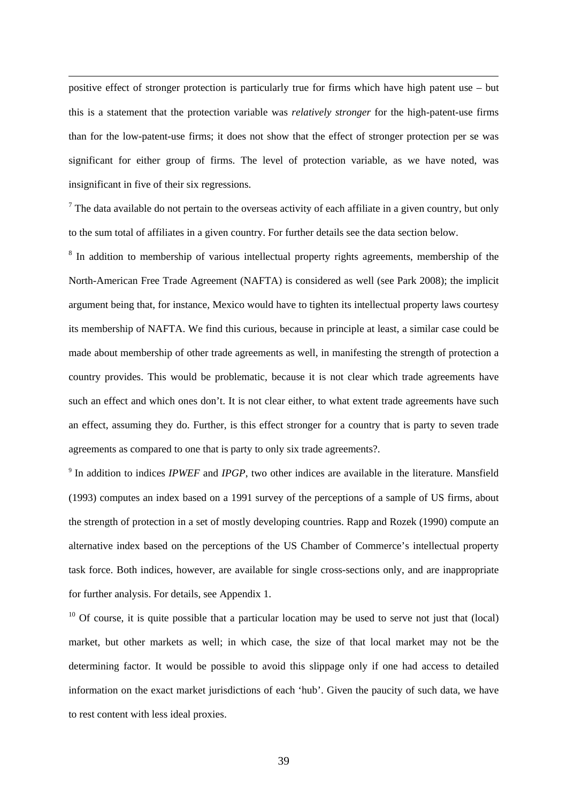positive effect of stronger protection is particularly true for firms which have high patent use – but this is a statement that the protection variable was *relatively stronger* for the high-patent-use firms than for the low-patent-use firms; it does not show that the effect of stronger protection per se was significant for either group of firms. The level of protection variable, as we have noted, was insignificant in five of their six regressions.

 $\overline{a}$ 

 $<sup>7</sup>$  The data available do not pertain to the overseas activity of each affiliate in a given country, but only</sup> to the sum total of affiliates in a given country. For further details see the data section below.

<sup>8</sup> In addition to membership of various intellectual property rights agreements, membership of the North-American Free Trade Agreement (NAFTA) is considered as well (see Park 2008); the implicit argument being that, for instance, Mexico would have to tighten its intellectual property laws courtesy its membership of NAFTA. We find this curious, because in principle at least, a similar case could be made about membership of other trade agreements as well, in manifesting the strength of protection a country provides. This would be problematic, because it is not clear which trade agreements have such an effect and which ones don't. It is not clear either, to what extent trade agreements have such an effect, assuming they do. Further, is this effect stronger for a country that is party to seven trade agreements as compared to one that is party to only six trade agreements?.

<sup>9</sup> In addition to indices *IPWEF* and *IPGP*, two other indices are available in the literature. Mansfield (1993) computes an index based on a 1991 survey of the perceptions of a sample of US firms, about the strength of protection in a set of mostly developing countries. Rapp and Rozek (1990) compute an alternative index based on the perceptions of the US Chamber of Commerce's intellectual property task force. Both indices, however, are available for single cross-sections only, and are inappropriate for further analysis. For details, see Appendix 1.

 $10$  Of course, it is quite possible that a particular location may be used to serve not just that (local) market, but other markets as well; in which case, the size of that local market may not be the determining factor. It would be possible to avoid this slippage only if one had access to detailed information on the exact market jurisdictions of each 'hub'. Given the paucity of such data, we have to rest content with less ideal proxies.